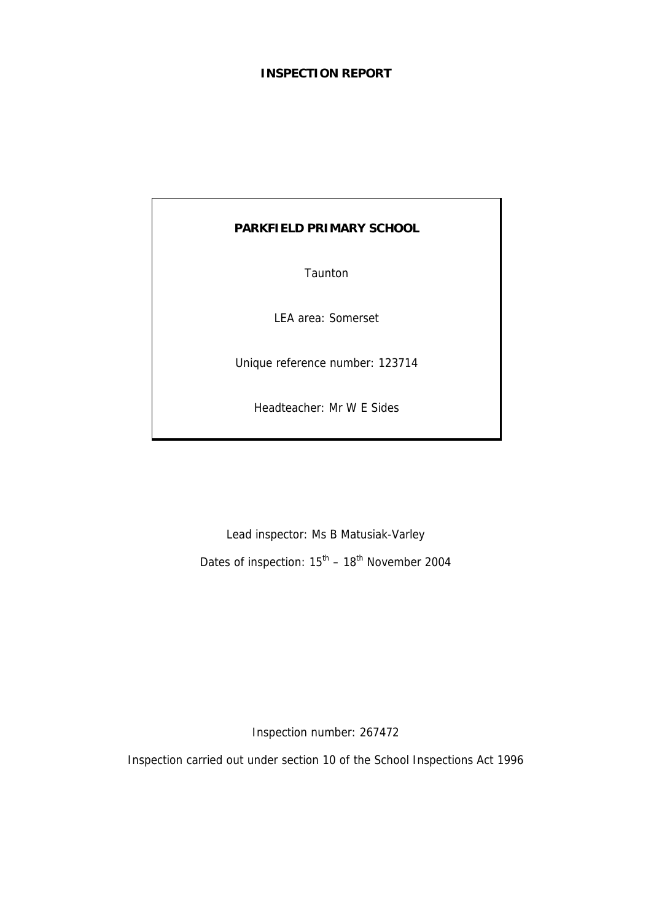#### **INSPECTION REPORT**

# **PARKFIELD PRIMARY SCHOOL**

Taunton

LEA area: Somerset

Unique reference number: 123714

Headteacher: Mr W E Sides

Lead inspector: Ms B Matusiak-Varley

Dates of inspection:  $15^{th}$  –  $18^{th}$  November 2004

Inspection number: 267472

Inspection carried out under section 10 of the School Inspections Act 1996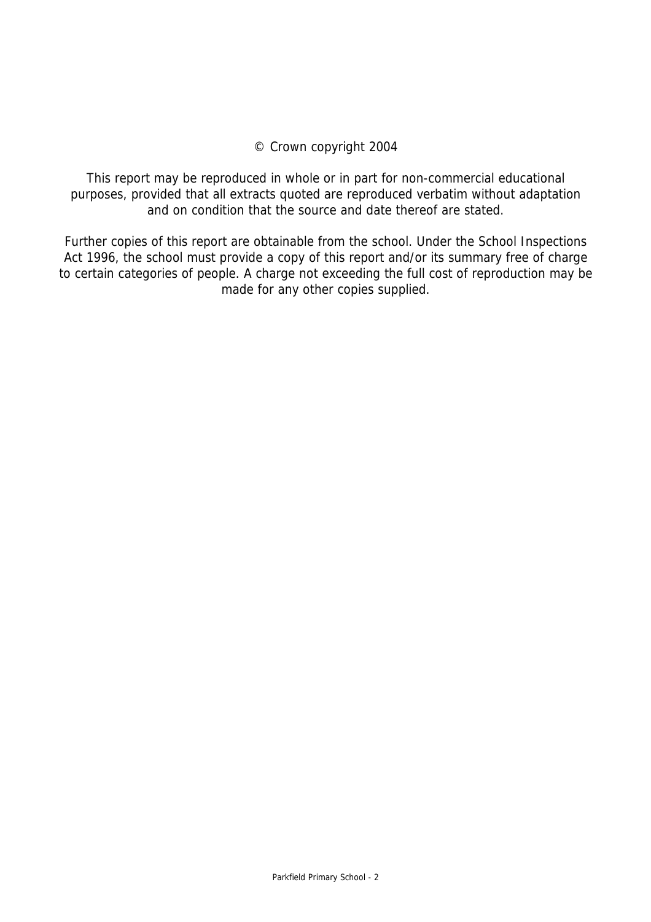# © Crown copyright 2004

This report may be reproduced in whole or in part for non-commercial educational purposes, provided that all extracts quoted are reproduced verbatim without adaptation and on condition that the source and date thereof are stated.

Further copies of this report are obtainable from the school. Under the School Inspections Act 1996, the school must provide a copy of this report and/or its summary free of charge to certain categories of people. A charge not exceeding the full cost of reproduction may be made for any other copies supplied.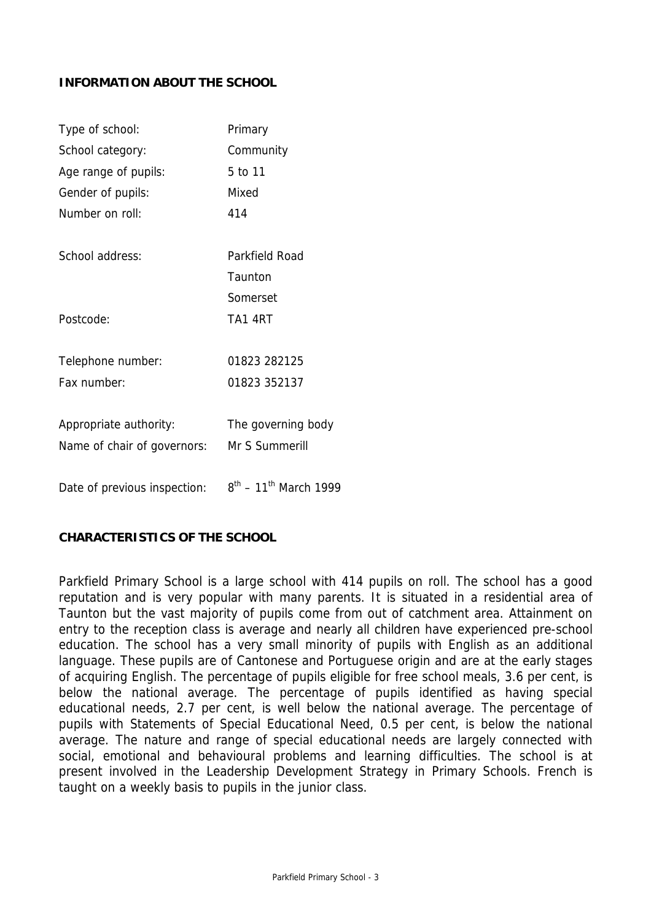#### **INFORMATION ABOUT THE SCHOOL**

| Type of school:              | Primary                                |
|------------------------------|----------------------------------------|
| School category:             | Community                              |
| Age range of pupils:         | 5 to 11                                |
| Gender of pupils:            | Mixed                                  |
| Number on roll:              | 414                                    |
| School address:              | Parkfield Road                         |
|                              | Taunton                                |
|                              | Somerset                               |
| Postcode:                    | <b>TA1 4RT</b>                         |
| Telephone number:            | 01823 282125                           |
| Fax number:                  | 01823 352137                           |
|                              |                                        |
| Appropriate authority:       | The governing body                     |
| Name of chair of governors:  | Mr S Summerill                         |
| Date of previous inspection: | $8^{th}$ – 11 <sup>th</sup> March 1999 |

#### **CHARACTERISTICS OF THE SCHOOL**

Parkfield Primary School is a large school with 414 pupils on roll. The school has a good reputation and is very popular with many parents. It is situated in a residential area of Taunton but the vast majority of pupils come from out of catchment area. Attainment on entry to the reception class is average and nearly all children have experienced pre-school education. The school has a very small minority of pupils with English as an additional language. These pupils are of Cantonese and Portuguese origin and are at the early stages of acquiring English. The percentage of pupils eligible for free school meals, 3.6 per cent, is below the national average. The percentage of pupils identified as having special educational needs, 2.7 per cent, is well below the national average. The percentage of pupils with Statements of Special Educational Need, 0.5 per cent, is below the national average. The nature and range of special educational needs are largely connected with social, emotional and behavioural problems and learning difficulties. The school is at present involved in the Leadership Development Strategy in Primary Schools. French is taught on a weekly basis to pupils in the junior class.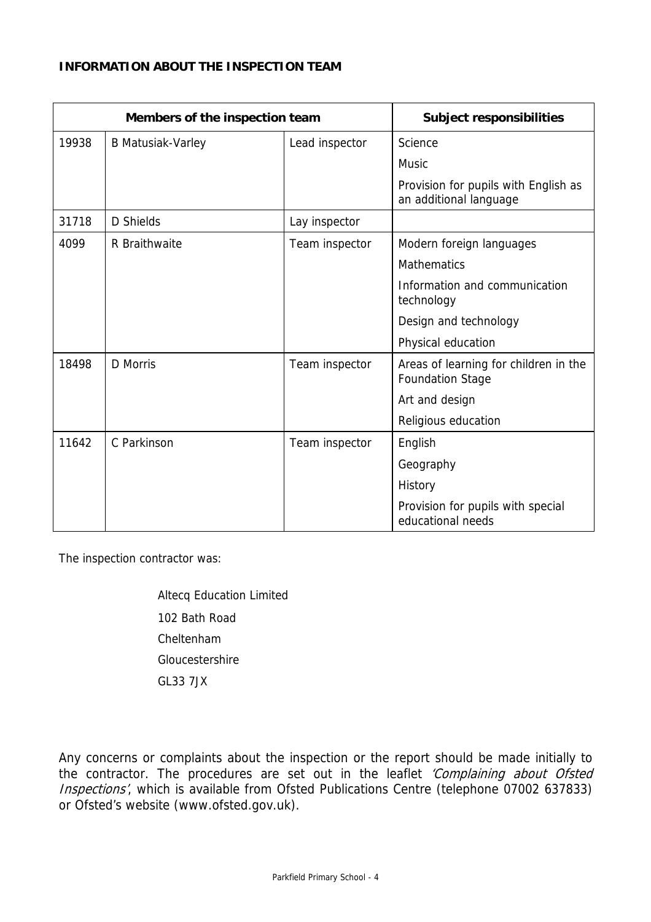# **INFORMATION ABOUT THE INSPECTION TEAM**

| Members of the inspection team |                          | <b>Subject responsibilities</b> |                                                                  |
|--------------------------------|--------------------------|---------------------------------|------------------------------------------------------------------|
| 19938                          | <b>B Matusiak-Varley</b> | Lead inspector                  | Science                                                          |
|                                |                          |                                 | <b>Music</b>                                                     |
|                                |                          |                                 | Provision for pupils with English as<br>an additional language   |
| 31718                          | D Shields                | Lay inspector                   |                                                                  |
| 4099                           | R Braithwaite            | Team inspector                  | Modern foreign languages                                         |
|                                |                          |                                 | <b>Mathematics</b>                                               |
|                                |                          |                                 | Information and communication<br>technology                      |
|                                |                          |                                 | Design and technology                                            |
|                                |                          |                                 | Physical education                                               |
| 18498                          | D Morris                 | Team inspector                  | Areas of learning for children in the<br><b>Foundation Stage</b> |
|                                |                          |                                 | Art and design                                                   |
|                                |                          |                                 | Religious education                                              |
| 11642                          | C Parkinson              | Team inspector                  | English                                                          |
|                                |                          |                                 | Geography                                                        |
|                                |                          |                                 | History                                                          |
|                                |                          |                                 | Provision for pupils with special<br>educational needs           |

The inspection contractor was:

Altecq Education Limited 102 Bath Road Cheltenham Gloucestershire GL33 7JX

Any concerns or complaints about the inspection or the report should be made initially to the contractor. The procedures are set out in the leaflet 'Complaining about Ofsted Inspections', which is available from Ofsted Publications Centre (telephone 07002 637833) or Ofsted's website (www.ofsted.gov.uk).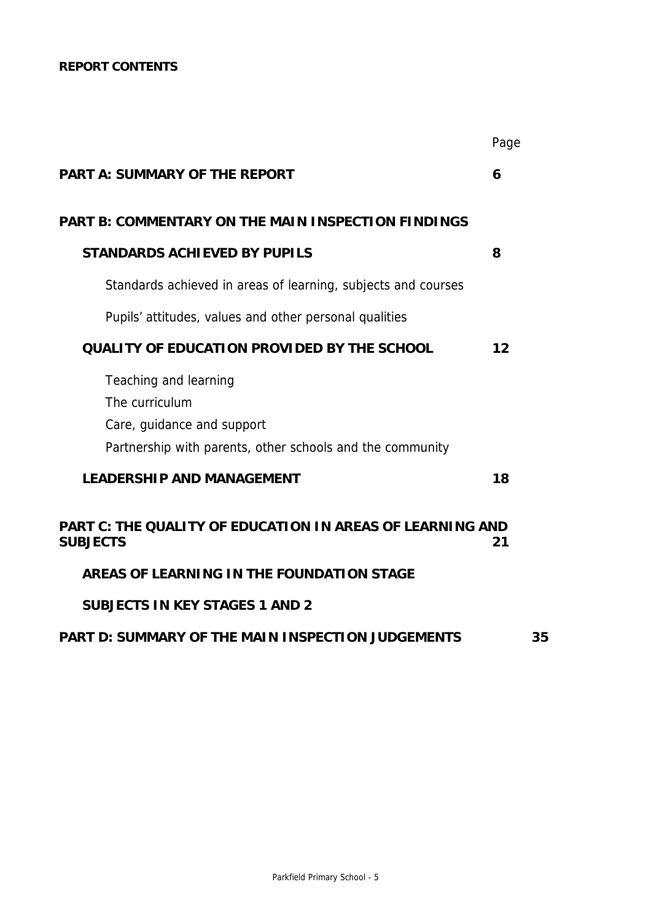# **REPORT CONTENTS**

|                                                                                                                                    | Page |
|------------------------------------------------------------------------------------------------------------------------------------|------|
| <b>PART A: SUMMARY OF THE REPORT</b>                                                                                               | 6    |
| <b>PART B: COMMENTARY ON THE MAIN INSPECTION FINDINGS</b>                                                                          |      |
| <b>STANDARDS ACHIEVED BY PUPILS</b>                                                                                                | 8    |
| Standards achieved in areas of learning, subjects and courses                                                                      |      |
| Pupils' attitudes, values and other personal qualities                                                                             |      |
| <b>QUALITY OF EDUCATION PROVIDED BY THE SCHOOL</b>                                                                                 | 12   |
| Teaching and learning<br>The curriculum<br>Care, guidance and support<br>Partnership with parents, other schools and the community |      |
| <b>LEADERSHIP AND MANAGEMENT</b>                                                                                                   | 18   |
| <b>PART C: THE QUALITY OF EDUCATION IN AREAS OF LEARNING AND</b><br><b>SUBJECTS</b>                                                | 21   |
| AREAS OF LEARNING IN THE FOUNDATION STAGE                                                                                          |      |
| <b>SUBJECTS IN KEY STAGES 1 AND 2</b>                                                                                              |      |

# **PART D: SUMMARY OF THE MAIN INSPECTION JUDGEMENTS 35**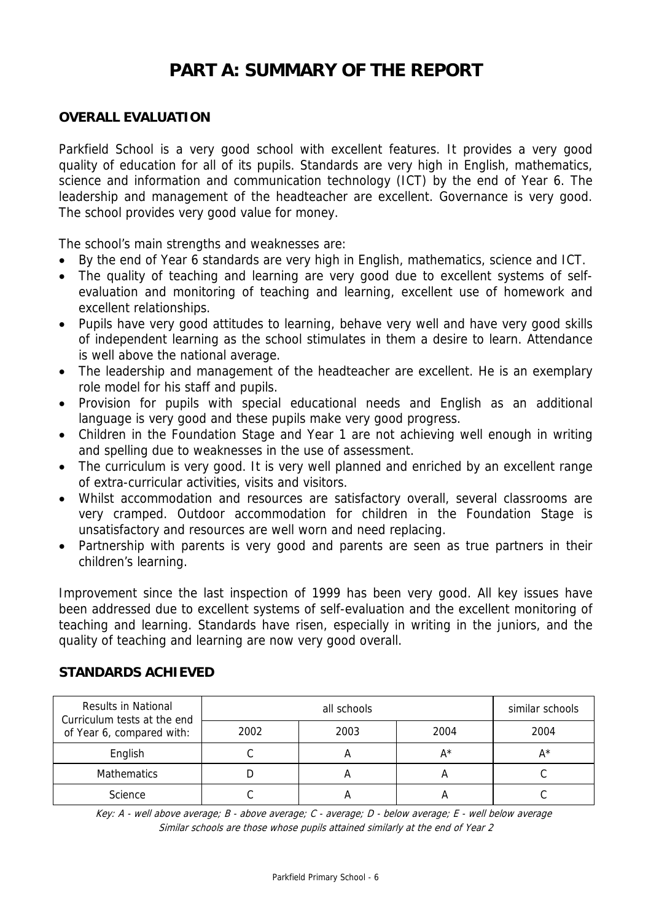# **PART A: SUMMARY OF THE REPORT**

# **OVERALL EVALUATION**

Parkfield School is a very good school with excellent features. It provides a very good quality of education for all of its pupils. Standards are very high in English, mathematics, science and information and communication technology (ICT) by the end of Year 6. The leadership and management of the headteacher are excellent. Governance is very good. The school provides very good value for money.

The school's main strengths and weaknesses are:

- By the end of Year 6 standards are very high in English, mathematics, science and ICT.
- The quality of teaching and learning are very good due to excellent systems of selfevaluation and monitoring of teaching and learning, excellent use of homework and excellent relationships.
- Pupils have very good attitudes to learning, behave very well and have very good skills of independent learning as the school stimulates in them a desire to learn. Attendance is well above the national average.
- The leadership and management of the headteacher are excellent. He is an exemplary role model for his staff and pupils.
- Provision for pupils with special educational needs and English as an additional language is very good and these pupils make very good progress.
- Children in the Foundation Stage and Year 1 are not achieving well enough in writing and spelling due to weaknesses in the use of assessment.
- The curriculum is very good. It is very well planned and enriched by an excellent range of extra-curricular activities, visits and visitors.
- Whilst accommodation and resources are satisfactory overall, several classrooms are very cramped. Outdoor accommodation for children in the Foundation Stage is unsatisfactory and resources are well worn and need replacing.
- Partnership with parents is very good and parents are seen as true partners in their children's learning.

Improvement since the last inspection of 1999 has been very good. All key issues have been addressed due to excellent systems of self-evaluation and the excellent monitoring of teaching and learning. Standards have risen, especially in writing in the juniors, and the quality of teaching and learning are now very good overall.

| Results in National<br>Curriculum tests at the end<br>of Year 6, compared with: |      | similar schools |       |      |
|---------------------------------------------------------------------------------|------|-----------------|-------|------|
|                                                                                 | 2002 | 2003            | 2004  | 2004 |
| English                                                                         |      |                 | $A^*$ | A*   |
| <b>Mathematics</b>                                                              |      |                 | А     |      |
| Science                                                                         |      |                 |       |      |

**STANDARDS ACHIEVED** 

Key: A - well above average; B - above average; C - average; D - below average; E - well below average Similar schools are those whose pupils attained similarly at the end of Year 2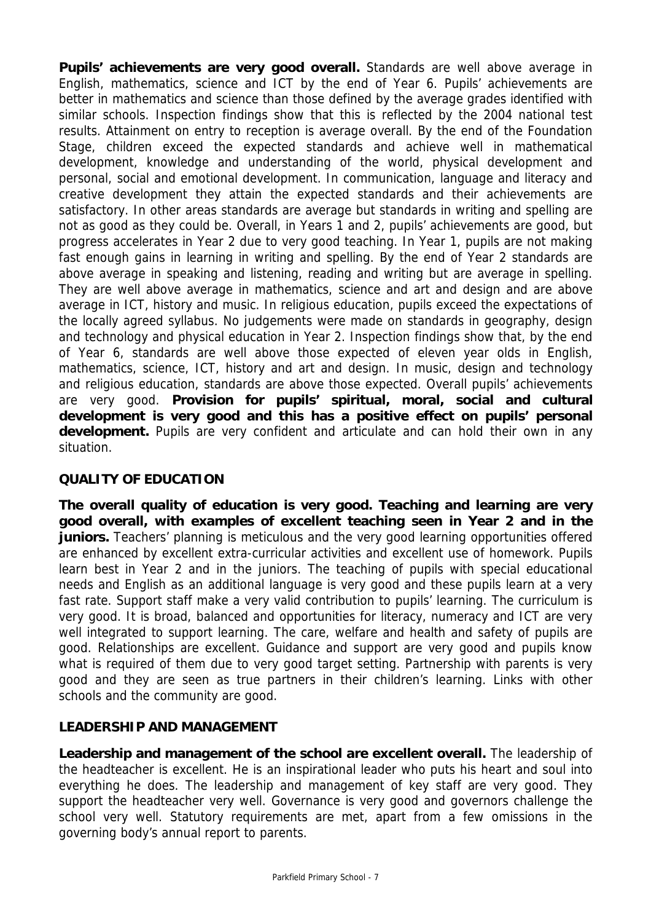Pupils' achievements are very good overall. Standards are well above average in English, mathematics, science and ICT by the end of Year 6. Pupils' achievements are better in mathematics and science than those defined by the average grades identified with similar schools. Inspection findings show that this is reflected by the 2004 national test results. Attainment on entry to reception is average overall. By the end of the Foundation Stage, children exceed the expected standards and achieve well in mathematical development, knowledge and understanding of the world, physical development and personal, social and emotional development. In communication, language and literacy and creative development they attain the expected standards and their achievements are satisfactory. In other areas standards are average but standards in writing and spelling are not as good as they could be. Overall, in Years 1 and 2, pupils' achievements are good, but progress accelerates in Year 2 due to very good teaching. In Year 1, pupils are not making fast enough gains in learning in writing and spelling. By the end of Year 2 standards are above average in speaking and listening, reading and writing but are average in spelling. They are well above average in mathematics, science and art and design and are above average in ICT, history and music. In religious education, pupils exceed the expectations of the locally agreed syllabus. No judgements were made on standards in geography, design and technology and physical education in Year 2. Inspection findings show that, by the end of Year 6, standards are well above those expected of eleven year olds in English, mathematics, science, ICT, history and art and design. In music, design and technology and religious education, standards are above those expected. Overall pupils' achievements are very good. **Provision for pupils' spiritual, moral, social and cultural development is very good and this has a positive effect on pupils' personal development.** Pupils are very confident and articulate and can hold their own in any situation.

# **QUALITY OF EDUCATION**

**The overall quality of education is very good. Teaching and learning are very good overall, with examples of excellent teaching seen in Year 2 and in the juniors.** Teachers' planning is meticulous and the very good learning opportunities offered are enhanced by excellent extra-curricular activities and excellent use of homework. Pupils learn best in Year 2 and in the juniors. The teaching of pupils with special educational needs and English as an additional language is very good and these pupils learn at a very fast rate. Support staff make a very valid contribution to pupils' learning. The curriculum is very good. It is broad, balanced and opportunities for literacy, numeracy and ICT are very well integrated to support learning. The care, welfare and health and safety of pupils are good. Relationships are excellent. Guidance and support are very good and pupils know what is required of them due to very good target setting. Partnership with parents is very good and they are seen as true partners in their children's learning. Links with other schools and the community are good.

# **LEADERSHIP AND MANAGEMENT**

**Leadership and management of the school are excellent overall.** The leadership of the headteacher is excellent. He is an inspirational leader who puts his heart and soul into everything he does. The leadership and management of key staff are very good. They support the headteacher very well. Governance is very good and governors challenge the school very well. Statutory requirements are met, apart from a few omissions in the governing body's annual report to parents.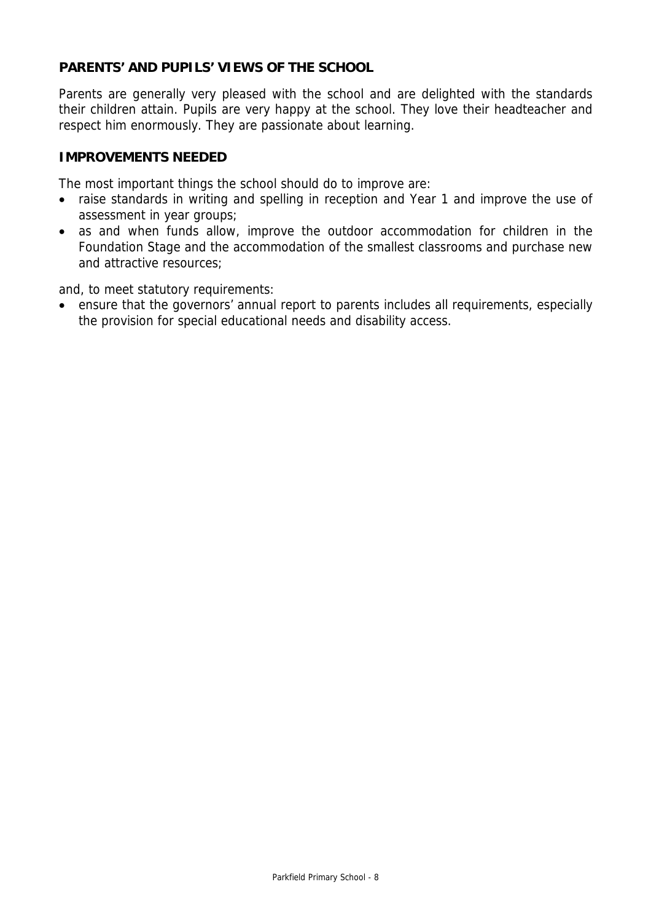# **PARENTS' AND PUPILS' VIEWS OF THE SCHOOL**

Parents are generally very pleased with the school and are delighted with the standards their children attain. Pupils are very happy at the school. They love their headteacher and respect him enormously. They are passionate about learning.

# **IMPROVEMENTS NEEDED**

The most important things the school should do to improve are:

- raise standards in writing and spelling in reception and Year 1 and improve the use of assessment in year groups;
- as and when funds allow, improve the outdoor accommodation for children in the Foundation Stage and the accommodation of the smallest classrooms and purchase new and attractive resources;

and, to meet statutory requirements:

• ensure that the governors' annual report to parents includes all requirements, especially the provision for special educational needs and disability access.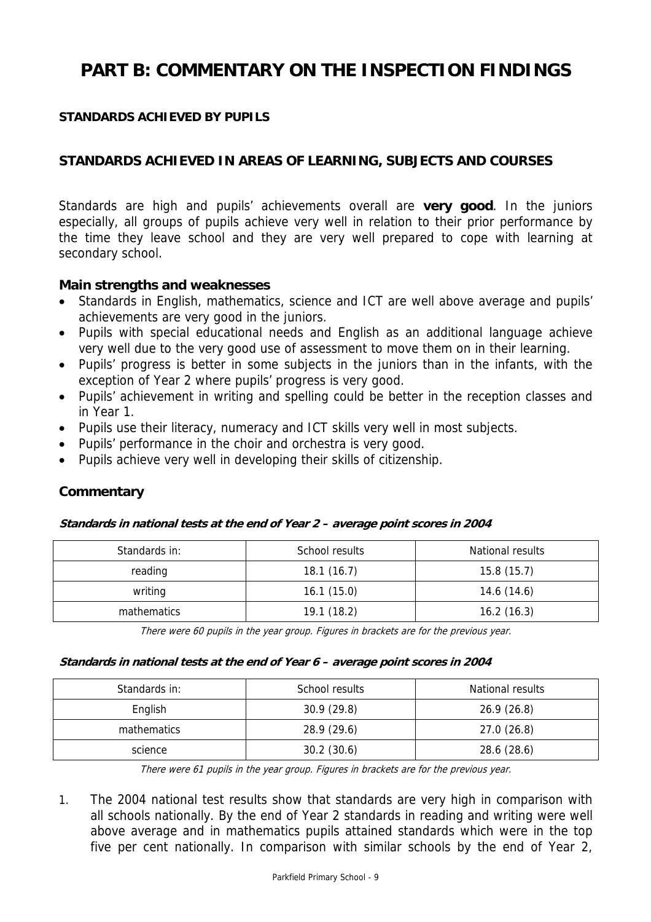# **PART B: COMMENTARY ON THE INSPECTION FINDINGS**

# **STANDARDS ACHIEVED BY PUPILS**

# **STANDARDS ACHIEVED IN AREAS OF LEARNING, SUBJECTS AND COURSES**

Standards are high and pupils' achievements overall are **very good**. In the juniors especially, all groups of pupils achieve very well in relation to their prior performance by the time they leave school and they are very well prepared to cope with learning at secondary school.

#### **Main strengths and weaknesses**

- Standards in English, mathematics, science and ICT are well above average and pupils' achievements are very good in the juniors.
- Pupils with special educational needs and English as an additional language achieve very well due to the very good use of assessment to move them on in their learning.
- Pupils' progress is better in some subjects in the juniors than in the infants, with the exception of Year 2 where pupils' progress is very good.
- Pupils' achievement in writing and spelling could be better in the reception classes and in Year 1.
- Pupils use their literacy, numeracy and ICT skills very well in most subjects.
- Pupils' performance in the choir and orchestra is very good.
- Pupils achieve very well in developing their skills of citizenship.

# **Commentary**

#### **Standards in national tests at the end of Year 2 – average point scores in 2004**

| Standards in: | School results | National results |
|---------------|----------------|------------------|
| reading       | 18.1(16.7)     | 15.8(15.7)       |
| writing       | 16.1(15.0)     | 14.6(14.6)       |
| mathematics   | 19.1(18.2)     | 16.2(16.3)       |

There were 60 pupils in the year group. Figures in brackets are for the previous year.

#### **Standards in national tests at the end of Year 6 – average point scores in 2004**

| Standards in: | School results | National results |
|---------------|----------------|------------------|
| English       | 30.9(29.8)     | 26.9(26.8)       |
| mathematics   | 28.9 (29.6)    | 27.0(26.8)       |
| science       | 30.2(30.6)     | 28.6 (28.6)      |

There were 61 pupils in the year group. Figures in brackets are for the previous year.

1. The 2004 national test results show that standards are very high in comparison with all schools nationally. By the end of Year 2 standards in reading and writing were well above average and in mathematics pupils attained standards which were in the top five per cent nationally. In comparison with similar schools by the end of Year 2,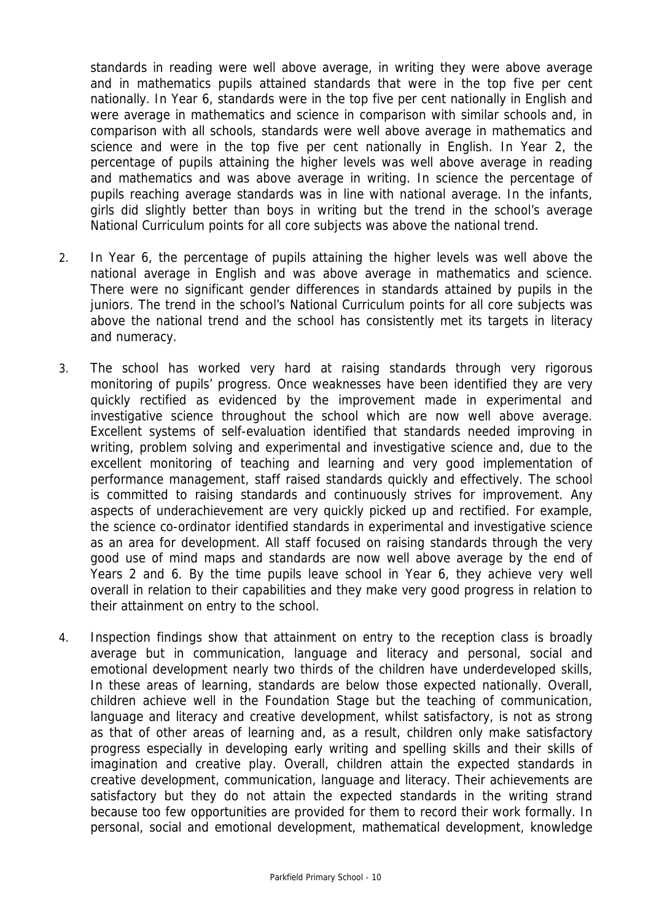standards in reading were well above average, in writing they were above average and in mathematics pupils attained standards that were in the top five per cent nationally. In Year 6, standards were in the top five per cent nationally in English and were average in mathematics and science in comparison with similar schools and, in comparison with all schools, standards were well above average in mathematics and science and were in the top five per cent nationally in English. In Year 2, the percentage of pupils attaining the higher levels was well above average in reading and mathematics and was above average in writing. In science the percentage of pupils reaching average standards was in line with national average. In the infants, girls did slightly better than boys in writing but the trend in the school's average National Curriculum points for all core subjects was above the national trend.

- 2. In Year 6, the percentage of pupils attaining the higher levels was well above the national average in English and was above average in mathematics and science. There were no significant gender differences in standards attained by pupils in the juniors. The trend in the school's National Curriculum points for all core subjects was above the national trend and the school has consistently met its targets in literacy and numeracy.
- 3. The school has worked very hard at raising standards through very rigorous monitoring of pupils' progress. Once weaknesses have been identified they are very quickly rectified as evidenced by the improvement made in experimental and investigative science throughout the school which are now well above average. Excellent systems of self-evaluation identified that standards needed improving in writing, problem solving and experimental and investigative science and, due to the excellent monitoring of teaching and learning and very good implementation of performance management, staff raised standards quickly and effectively. The school is committed to raising standards and continuously strives for improvement. Any aspects of underachievement are very quickly picked up and rectified. For example, the science co-ordinator identified standards in experimental and investigative science as an area for development. All staff focused on raising standards through the very good use of mind maps and standards are now well above average by the end of Years 2 and 6. By the time pupils leave school in Year 6, they achieve very well overall in relation to their capabilities and they make very good progress in relation to their attainment on entry to the school.
- 4. Inspection findings show that attainment on entry to the reception class is broadly average but in communication, language and literacy and personal, social and emotional development nearly two thirds of the children have underdeveloped skills, In these areas of learning, standards are below those expected nationally. Overall, children achieve well in the Foundation Stage but the teaching of communication, language and literacy and creative development, whilst satisfactory, is not as strong as that of other areas of learning and, as a result, children only make satisfactory progress especially in developing early writing and spelling skills and their skills of imagination and creative play. Overall, children attain the expected standards in creative development, communication, language and literacy. Their achievements are satisfactory but they do not attain the expected standards in the writing strand because too few opportunities are provided for them to record their work formally. In personal, social and emotional development, mathematical development, knowledge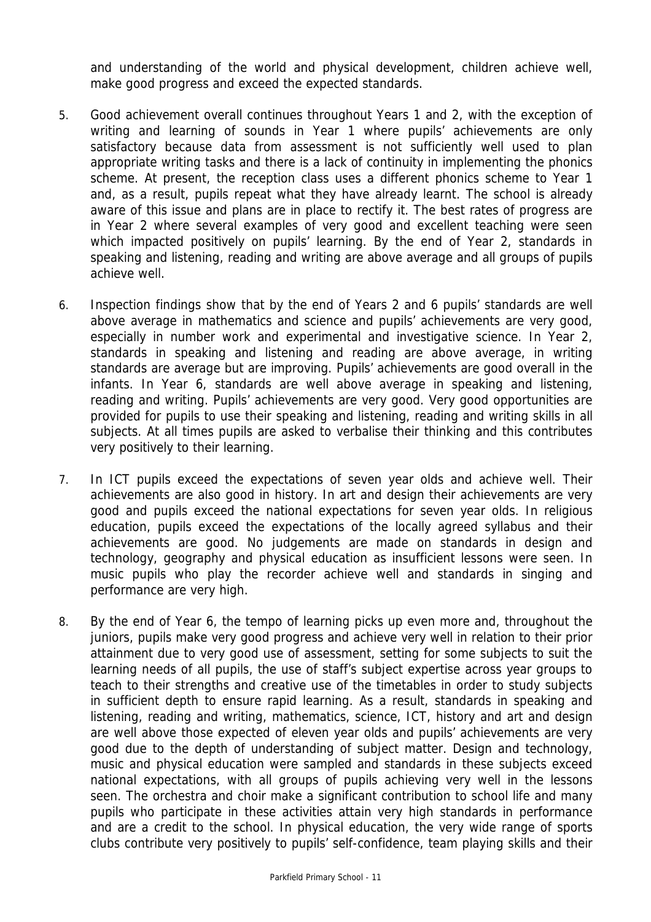and understanding of the world and physical development, children achieve well, make good progress and exceed the expected standards.

- 5. Good achievement overall continues throughout Years 1 and 2, with the exception of writing and learning of sounds in Year 1 where pupils' achievements are only satisfactory because data from assessment is not sufficiently well used to plan appropriate writing tasks and there is a lack of continuity in implementing the phonics scheme. At present, the reception class uses a different phonics scheme to Year 1 and, as a result, pupils repeat what they have already learnt. The school is already aware of this issue and plans are in place to rectify it. The best rates of progress are in Year 2 where several examples of very good and excellent teaching were seen which impacted positively on pupils' learning. By the end of Year 2, standards in speaking and listening, reading and writing are above average and all groups of pupils achieve well.
- 6. Inspection findings show that by the end of Years 2 and 6 pupils' standards are well above average in mathematics and science and pupils' achievements are very good, especially in number work and experimental and investigative science. In Year 2, standards in speaking and listening and reading are above average, in writing standards are average but are improving. Pupils' achievements are good overall in the infants. In Year 6, standards are well above average in speaking and listening, reading and writing. Pupils' achievements are very good. Very good opportunities are provided for pupils to use their speaking and listening, reading and writing skills in all subjects. At all times pupils are asked to verbalise their thinking and this contributes very positively to their learning.
- 7. In ICT pupils exceed the expectations of seven year olds and achieve well. Their achievements are also good in history. In art and design their achievements are very good and pupils exceed the national expectations for seven year olds. In religious education, pupils exceed the expectations of the locally agreed syllabus and their achievements are good. No judgements are made on standards in design and technology, geography and physical education as insufficient lessons were seen. In music pupils who play the recorder achieve well and standards in singing and performance are very high.
- 8. By the end of Year 6, the tempo of learning picks up even more and, throughout the juniors, pupils make very good progress and achieve very well in relation to their prior attainment due to very good use of assessment, setting for some subjects to suit the learning needs of all pupils, the use of staff's subject expertise across year groups to teach to their strengths and creative use of the timetables in order to study subjects in sufficient depth to ensure rapid learning. As a result, standards in speaking and listening, reading and writing, mathematics, science, ICT, history and art and design are well above those expected of eleven year olds and pupils' achievements are very good due to the depth of understanding of subject matter. Design and technology, music and physical education were sampled and standards in these subjects exceed national expectations, with all groups of pupils achieving very well in the lessons seen. The orchestra and choir make a significant contribution to school life and many pupils who participate in these activities attain very high standards in performance and are a credit to the school. In physical education, the very wide range of sports clubs contribute very positively to pupils' self-confidence, team playing skills and their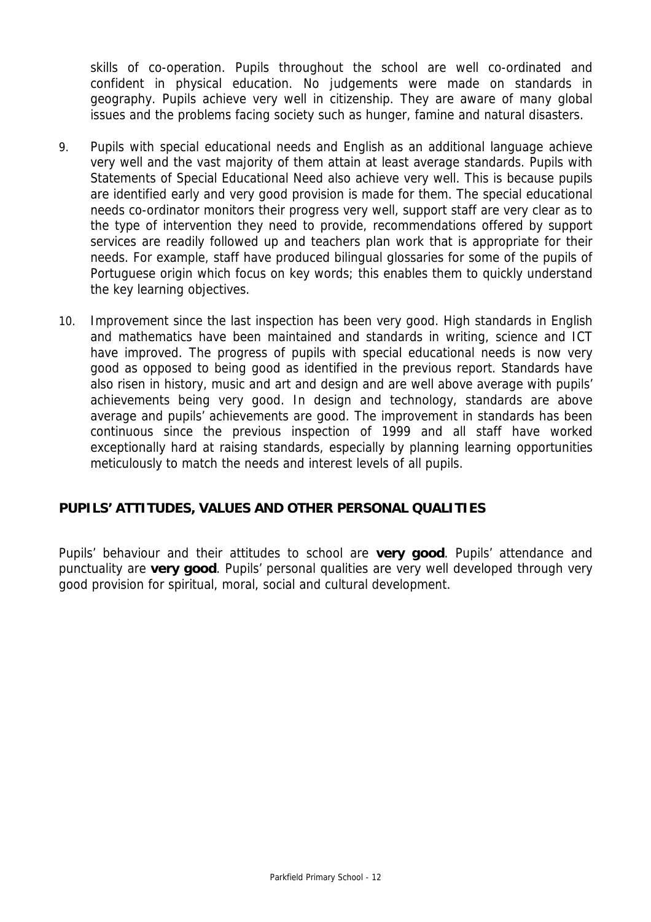skills of co-operation. Pupils throughout the school are well co-ordinated and confident in physical education. No judgements were made on standards in geography. Pupils achieve very well in citizenship. They are aware of many global issues and the problems facing society such as hunger, famine and natural disasters.

- 9. Pupils with special educational needs and English as an additional language achieve very well and the vast majority of them attain at least average standards. Pupils with Statements of Special Educational Need also achieve very well. This is because pupils are identified early and very good provision is made for them. The special educational needs co-ordinator monitors their progress very well, support staff are very clear as to the type of intervention they need to provide, recommendations offered by support services are readily followed up and teachers plan work that is appropriate for their needs. For example, staff have produced bilingual glossaries for some of the pupils of Portuguese origin which focus on key words; this enables them to quickly understand the key learning objectives.
- 10. Improvement since the last inspection has been very good. High standards in English and mathematics have been maintained and standards in writing, science and ICT have improved. The progress of pupils with special educational needs is now very good as opposed to being good as identified in the previous report. Standards have also risen in history, music and art and design and are well above average with pupils' achievements being very good. In design and technology, standards are above average and pupils' achievements are good. The improvement in standards has been continuous since the previous inspection of 1999 and all staff have worked exceptionally hard at raising standards, especially by planning learning opportunities meticulously to match the needs and interest levels of all pupils.

# **PUPILS' ATTITUDES, VALUES AND OTHER PERSONAL QUALITIES**

Pupils' behaviour and their attitudes to school are **very good**. Pupils' attendance and punctuality are **very good**. Pupils' personal qualities are very well developed through very good provision for spiritual, moral, social and cultural development.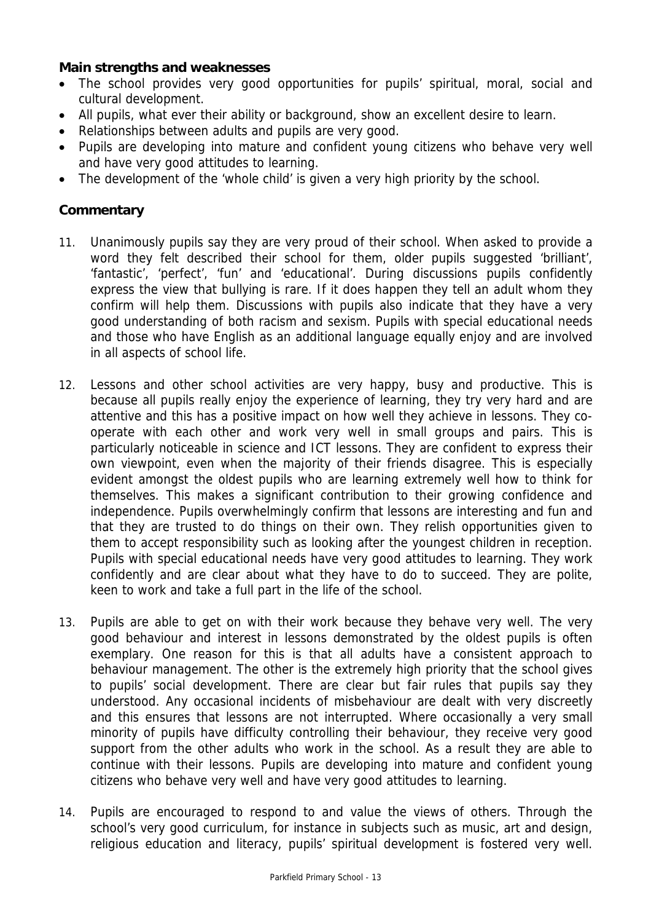# **Main strengths and weaknesses**

- The school provides very good opportunities for pupils' spiritual, moral, social and cultural development.
- All pupils, what ever their ability or background, show an excellent desire to learn.
- Relationships between adults and pupils are very good.
- Pupils are developing into mature and confident young citizens who behave very well and have very good attitudes to learning.
- The development of the 'whole child' is given a very high priority by the school.

# **Commentary**

- 11. Unanimously pupils say they are very proud of their school. When asked to provide a word they felt described their school for them, older pupils suggested 'brilliant', 'fantastic', 'perfect', 'fun' and 'educational'. During discussions pupils confidently express the view that bullying is rare. If it does happen they tell an adult whom they confirm will help them. Discussions with pupils also indicate that they have a very good understanding of both racism and sexism. Pupils with special educational needs and those who have English as an additional language equally enjoy and are involved in all aspects of school life.
- 12. Lessons and other school activities are very happy, busy and productive. This is because all pupils really enjoy the experience of learning, they try very hard and are attentive and this has a positive impact on how well they achieve in lessons. They cooperate with each other and work very well in small groups and pairs. This is particularly noticeable in science and ICT lessons. They are confident to express their own viewpoint, even when the majority of their friends disagree. This is especially evident amongst the oldest pupils who are learning extremely well how to think for themselves. This makes a significant contribution to their growing confidence and independence. Pupils overwhelmingly confirm that lessons are interesting and fun and that they are trusted to do things on their own. They relish opportunities given to them to accept responsibility such as looking after the youngest children in reception. Pupils with special educational needs have very good attitudes to learning. They work confidently and are clear about what they have to do to succeed. They are polite, keen to work and take a full part in the life of the school.
- 13. Pupils are able to get on with their work because they behave very well. The very good behaviour and interest in lessons demonstrated by the oldest pupils is often exemplary. One reason for this is that all adults have a consistent approach to behaviour management. The other is the extremely high priority that the school gives to pupils' social development. There are clear but fair rules that pupils say they understood. Any occasional incidents of misbehaviour are dealt with very discreetly and this ensures that lessons are not interrupted. Where occasionally a very small minority of pupils have difficulty controlling their behaviour, they receive very good support from the other adults who work in the school. As a result they are able to continue with their lessons. Pupils are developing into mature and confident young citizens who behave very well and have very good attitudes to learning.
- 14. Pupils are encouraged to respond to and value the views of others. Through the school's very good curriculum, for instance in subjects such as music, art and design, religious education and literacy, pupils' spiritual development is fostered very well.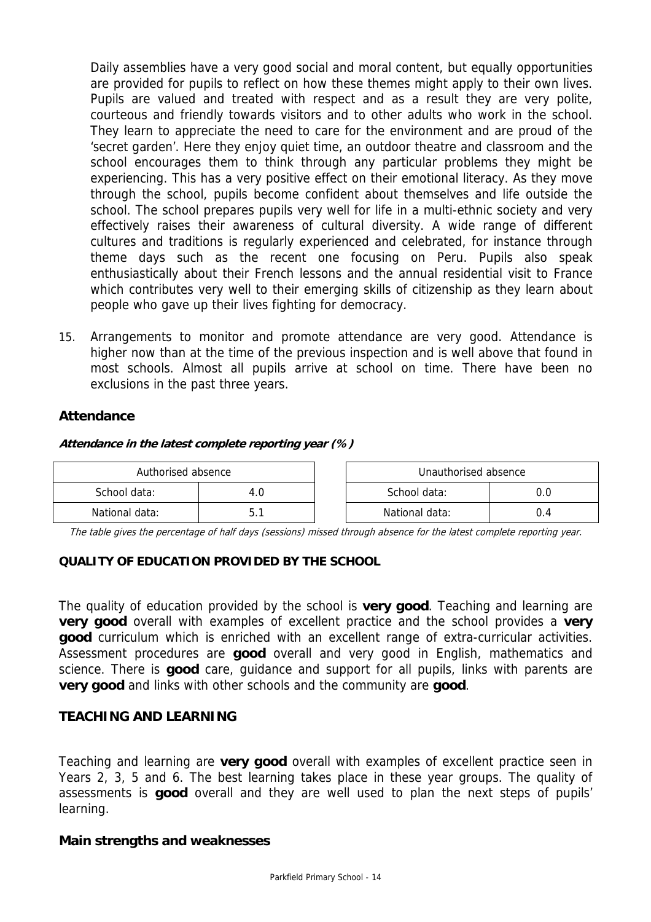Daily assemblies have a very good social and moral content, but equally opportunities are provided for pupils to reflect on how these themes might apply to their own lives. Pupils are valued and treated with respect and as a result they are very polite, courteous and friendly towards visitors and to other adults who work in the school. They learn to appreciate the need to care for the environment and are proud of the 'secret garden'. Here they enjoy quiet time, an outdoor theatre and classroom and the school encourages them to think through any particular problems they might be experiencing. This has a very positive effect on their emotional literacy. As they move through the school, pupils become confident about themselves and life outside the school. The school prepares pupils very well for life in a multi-ethnic society and very effectively raises their awareness of cultural diversity. A wide range of different cultures and traditions is regularly experienced and celebrated, for instance through theme days such as the recent one focusing on Peru. Pupils also speak enthusiastically about their French lessons and the annual residential visit to France which contributes very well to their emerging skills of citizenship as they learn about people who gave up their lives fighting for democracy.

15. Arrangements to monitor and promote attendance are very good. Attendance is higher now than at the time of the previous inspection and is well above that found in most schools. Almost all pupils arrive at school on time. There have been no exclusions in the past three years.

# **Attendance**

#### **Attendance in the latest complete reporting year (%)**

| Authorised absence |  | Unauthorised absence |     |
|--------------------|--|----------------------|-----|
| School data:       |  | School data:         | O.O |
| National data:     |  | National data:       | J.4 |

The table gives the percentage of half days (sessions) missed through absence for the latest complete reporting year.

#### **QUALITY OF EDUCATION PROVIDED BY THE SCHOOL**

The quality of education provided by the school is **very good**. Teaching and learning are **very good** overall with examples of excellent practice and the school provides a **very good** curriculum which is enriched with an excellent range of extra-curricular activities. Assessment procedures are **good** overall and very good in English, mathematics and science. There is **good** care, guidance and support for all pupils, links with parents are **very good** and links with other schools and the community are **good**.

# **TEACHING AND LEARNING**

Teaching and learning are **very good** overall with examples of excellent practice seen in Years 2, 3, 5 and 6. The best learning takes place in these year groups. The quality of assessments is **good** overall and they are well used to plan the next steps of pupils' learning.

#### **Main strengths and weaknesses**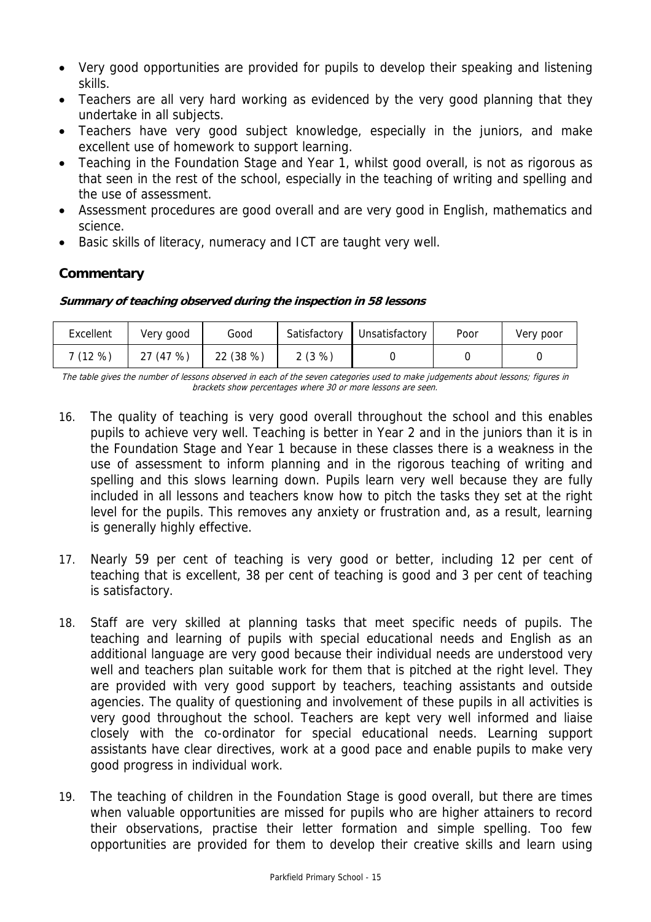- Very good opportunities are provided for pupils to develop their speaking and listening skills.
- Teachers are all very hard working as evidenced by the very good planning that they undertake in all subjects.
- Teachers have very good subject knowledge, especially in the juniors, and make excellent use of homework to support learning.
- Teaching in the Foundation Stage and Year 1, whilst good overall, is not as rigorous as that seen in the rest of the school, especially in the teaching of writing and spelling and the use of assessment.
- Assessment procedures are good overall and are very good in English, mathematics and science.
- Basic skills of literacy, numeracy and ICT are taught very well.

# **Commentary**

# **Summary of teaching observed during the inspection in 58 lessons**

| Excellent | Very good | Good      | Satisfactory | Unsatisfactory | Poor | Very poor |
|-----------|-----------|-----------|--------------|----------------|------|-----------|
| 7 (12 %)  | 27 (47 %) | 22 (38 %) | 2(3%)        |                |      |           |

The table gives the number of lessons observed in each of the seven categories used to make judgements about lessons; figures in brackets show percentages where 30 or more lessons are seen.

- 16. The quality of teaching is very good overall throughout the school and this enables pupils to achieve very well. Teaching is better in Year 2 and in the juniors than it is in the Foundation Stage and Year 1 because in these classes there is a weakness in the use of assessment to inform planning and in the rigorous teaching of writing and spelling and this slows learning down. Pupils learn very well because they are fully included in all lessons and teachers know how to pitch the tasks they set at the right level for the pupils. This removes any anxiety or frustration and, as a result, learning is generally highly effective.
- 17. Nearly 59 per cent of teaching is very good or better, including 12 per cent of teaching that is excellent, 38 per cent of teaching is good and 3 per cent of teaching is satisfactory.
- 18. Staff are very skilled at planning tasks that meet specific needs of pupils. The teaching and learning of pupils with special educational needs and English as an additional language are very good because their individual needs are understood very well and teachers plan suitable work for them that is pitched at the right level. They are provided with very good support by teachers, teaching assistants and outside agencies. The quality of questioning and involvement of these pupils in all activities is very good throughout the school. Teachers are kept very well informed and liaise closely with the co-ordinator for special educational needs. Learning support assistants have clear directives, work at a good pace and enable pupils to make very good progress in individual work.
- 19. The teaching of children in the Foundation Stage is good overall, but there are times when valuable opportunities are missed for pupils who are higher attainers to record their observations, practise their letter formation and simple spelling. Too few opportunities are provided for them to develop their creative skills and learn using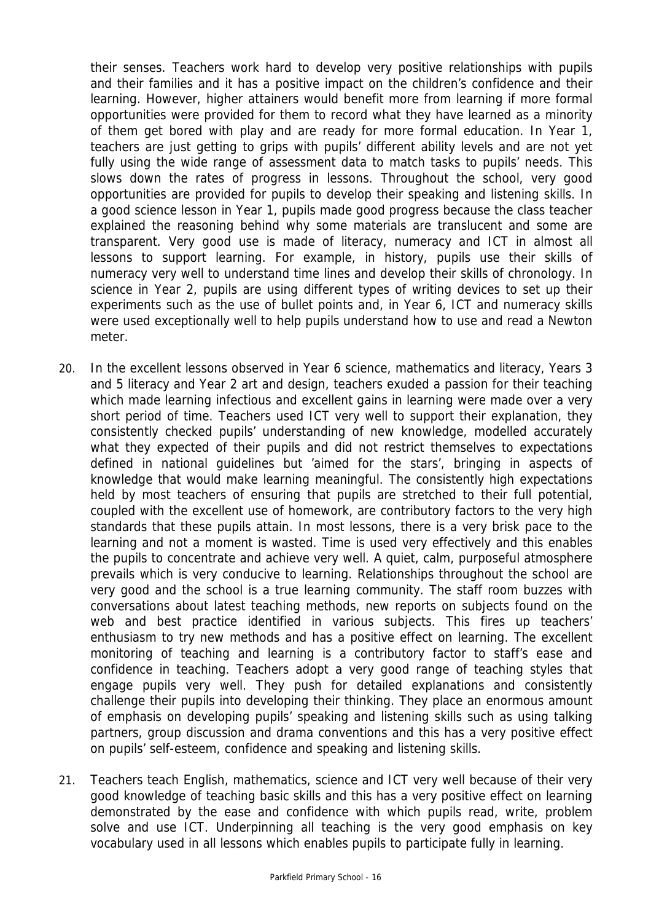their senses. Teachers work hard to develop very positive relationships with pupils and their families and it has a positive impact on the children's confidence and their learning. However, higher attainers would benefit more from learning if more formal opportunities were provided for them to record what they have learned as a minority of them get bored with play and are ready for more formal education. In Year 1, teachers are just getting to grips with pupils' different ability levels and are not yet fully using the wide range of assessment data to match tasks to pupils' needs. This slows down the rates of progress in lessons. Throughout the school, very good opportunities are provided for pupils to develop their speaking and listening skills. In a good science lesson in Year 1, pupils made good progress because the class teacher explained the reasoning behind why some materials are translucent and some are transparent. Very good use is made of literacy, numeracy and ICT in almost all lessons to support learning. For example, in history, pupils use their skills of numeracy very well to understand time lines and develop their skills of chronology. In science in Year 2, pupils are using different types of writing devices to set up their experiments such as the use of bullet points and, in Year 6, ICT and numeracy skills were used exceptionally well to help pupils understand how to use and read a Newton meter.

- 20. In the excellent lessons observed in Year 6 science, mathematics and literacy, Years 3 and 5 literacy and Year 2 art and design, teachers exuded a passion for their teaching which made learning infectious and excellent gains in learning were made over a very short period of time. Teachers used ICT very well to support their explanation, they consistently checked pupils' understanding of new knowledge, modelled accurately what they expected of their pupils and did not restrict themselves to expectations defined in national guidelines but 'aimed for the stars', bringing in aspects of knowledge that would make learning meaningful. The consistently high expectations held by most teachers of ensuring that pupils are stretched to their full potential, coupled with the excellent use of homework, are contributory factors to the very high standards that these pupils attain. In most lessons, there is a very brisk pace to the learning and not a moment is wasted. Time is used very effectively and this enables the pupils to concentrate and achieve very well. A quiet, calm, purposeful atmosphere prevails which is very conducive to learning. Relationships throughout the school are very good and the school is a true learning community. The staff room buzzes with conversations about latest teaching methods, new reports on subjects found on the web and best practice identified in various subjects. This fires up teachers' enthusiasm to try new methods and has a positive effect on learning. The excellent monitoring of teaching and learning is a contributory factor to staff's ease and confidence in teaching. Teachers adopt a very good range of teaching styles that engage pupils very well. They push for detailed explanations and consistently challenge their pupils into developing their thinking. They place an enormous amount of emphasis on developing pupils' speaking and listening skills such as using talking partners, group discussion and drama conventions and this has a very positive effect on pupils' self-esteem, confidence and speaking and listening skills.
- 21. Teachers teach English, mathematics, science and ICT very well because of their very good knowledge of teaching basic skills and this has a very positive effect on learning demonstrated by the ease and confidence with which pupils read, write, problem solve and use ICT. Underpinning all teaching is the very good emphasis on key vocabulary used in all lessons which enables pupils to participate fully in learning.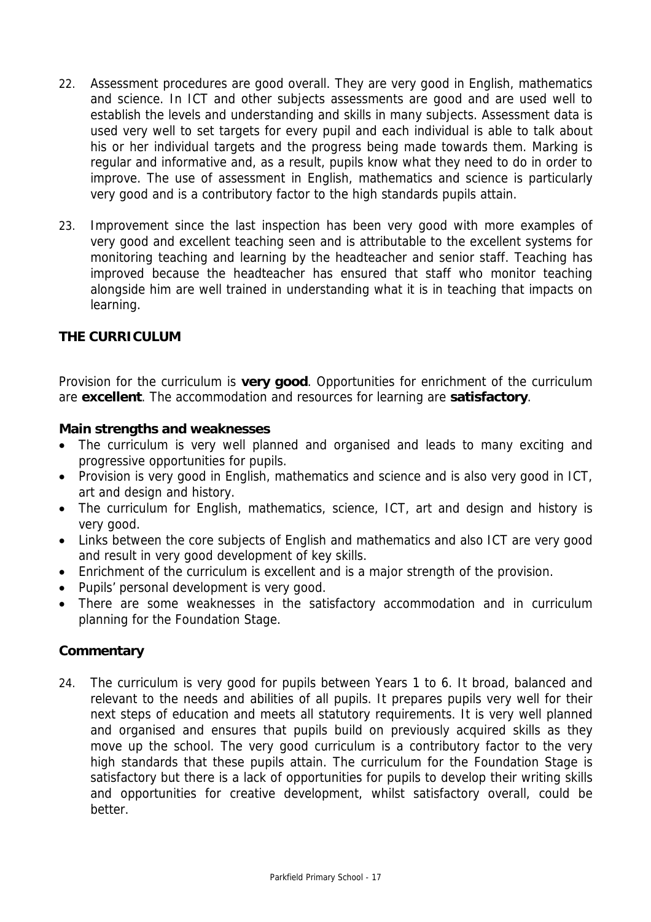- 22. Assessment procedures are good overall. They are very good in English, mathematics and science. In ICT and other subjects assessments are good and are used well to establish the levels and understanding and skills in many subjects. Assessment data is used very well to set targets for every pupil and each individual is able to talk about his or her individual targets and the progress being made towards them. Marking is regular and informative and, as a result, pupils know what they need to do in order to improve. The use of assessment in English, mathematics and science is particularly very good and is a contributory factor to the high standards pupils attain.
- 23. Improvement since the last inspection has been very good with more examples of very good and excellent teaching seen and is attributable to the excellent systems for monitoring teaching and learning by the headteacher and senior staff. Teaching has improved because the headteacher has ensured that staff who monitor teaching alongside him are well trained in understanding what it is in teaching that impacts on learning.

# **THE CURRICULUM**

Provision for the curriculum is **very good**. Opportunities for enrichment of the curriculum are **excellent**. The accommodation and resources for learning are **satisfactory**.

# **Main strengths and weaknesses**

- The curriculum is very well planned and organised and leads to many exciting and progressive opportunities for pupils.
- Provision is very good in English, mathematics and science and is also very good in ICT, art and design and history.
- The curriculum for English, mathematics, science, ICT, art and design and history is very good.
- Links between the core subjects of English and mathematics and also ICT are very good and result in very good development of key skills.
- Enrichment of the curriculum is excellent and is a major strength of the provision.
- Pupils' personal development is very good.
- There are some weaknesses in the satisfactory accommodation and in curriculum planning for the Foundation Stage.

# **Commentary**

24. The curriculum is very good for pupils between Years 1 to 6. It broad, balanced and relevant to the needs and abilities of all pupils. It prepares pupils very well for their next steps of education and meets all statutory requirements. It is very well planned and organised and ensures that pupils build on previously acquired skills as they move up the school. The very good curriculum is a contributory factor to the very high standards that these pupils attain. The curriculum for the Foundation Stage is satisfactory but there is a lack of opportunities for pupils to develop their writing skills and opportunities for creative development, whilst satisfactory overall, could be better.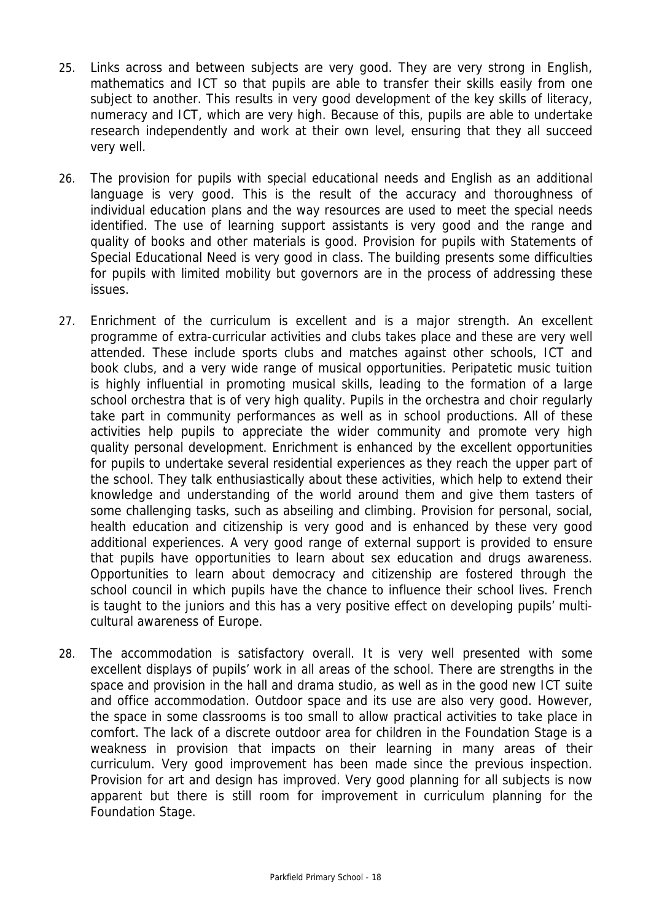- 25. Links across and between subjects are very good. They are very strong in English, mathematics and ICT so that pupils are able to transfer their skills easily from one subject to another. This results in very good development of the key skills of literacy, numeracy and ICT, which are very high. Because of this, pupils are able to undertake research independently and work at their own level, ensuring that they all succeed very well.
- 26. The provision for pupils with special educational needs and English as an additional language is very good. This is the result of the accuracy and thoroughness of individual education plans and the way resources are used to meet the special needs identified. The use of learning support assistants is very good and the range and quality of books and other materials is good. Provision for pupils with Statements of Special Educational Need is very good in class. The building presents some difficulties for pupils with limited mobility but governors are in the process of addressing these issues.
- 27. Enrichment of the curriculum is excellent and is a major strength. An excellent programme of extra-curricular activities and clubs takes place and these are very well attended. These include sports clubs and matches against other schools, ICT and book clubs, and a very wide range of musical opportunities. Peripatetic music tuition is highly influential in promoting musical skills, leading to the formation of a large school orchestra that is of very high quality. Pupils in the orchestra and choir regularly take part in community performances as well as in school productions. All of these activities help pupils to appreciate the wider community and promote very high quality personal development. Enrichment is enhanced by the excellent opportunities for pupils to undertake several residential experiences as they reach the upper part of the school. They talk enthusiastically about these activities, which help to extend their knowledge and understanding of the world around them and give them tasters of some challenging tasks, such as abseiling and climbing. Provision for personal, social, health education and citizenship is very good and is enhanced by these very good additional experiences. A very good range of external support is provided to ensure that pupils have opportunities to learn about sex education and drugs awareness. Opportunities to learn about democracy and citizenship are fostered through the school council in which pupils have the chance to influence their school lives. French is taught to the juniors and this has a very positive effect on developing pupils' multicultural awareness of Europe.
- 28. The accommodation is satisfactory overall. It is very well presented with some excellent displays of pupils' work in all areas of the school. There are strengths in the space and provision in the hall and drama studio, as well as in the good new ICT suite and office accommodation. Outdoor space and its use are also very good. However, the space in some classrooms is too small to allow practical activities to take place in comfort. The lack of a discrete outdoor area for children in the Foundation Stage is a weakness in provision that impacts on their learning in many areas of their curriculum. Very good improvement has been made since the previous inspection. Provision for art and design has improved. Very good planning for all subjects is now apparent but there is still room for improvement in curriculum planning for the Foundation Stage.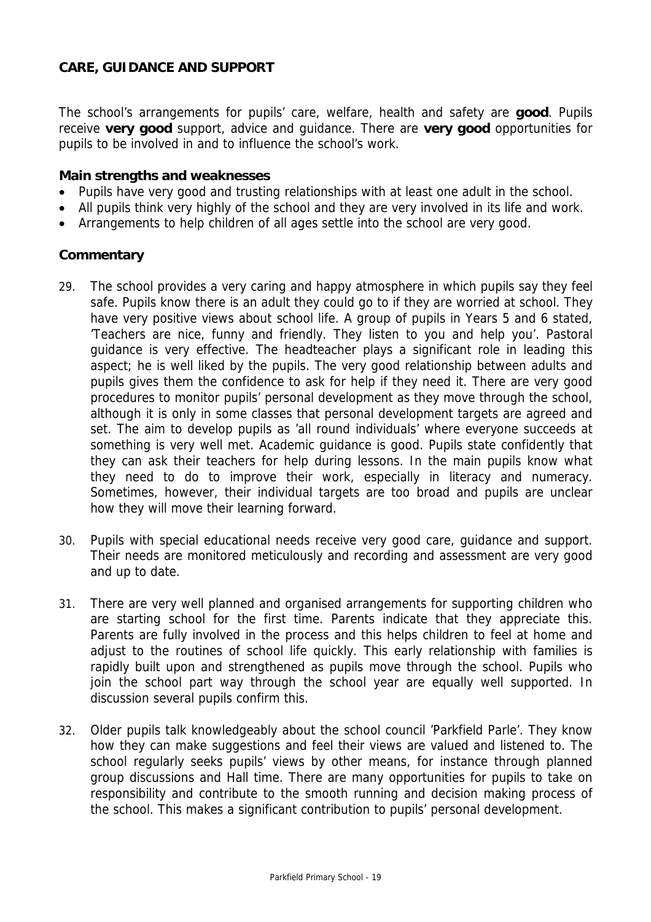# **CARE, GUIDANCE AND SUPPORT**

The school's arrangements for pupils' care, welfare, health and safety are **good**. Pupils receive **very good** support, advice and guidance. There are **very good** opportunities for pupils to be involved in and to influence the school's work.

#### **Main strengths and weaknesses**

- Pupils have very good and trusting relationships with at least one adult in the school.
- All pupils think very highly of the school and they are very involved in its life and work.
- Arrangements to help children of all ages settle into the school are very good.

#### **Commentary**

- 29. The school provides a very caring and happy atmosphere in which pupils say they feel safe. Pupils know there is an adult they could go to if they are worried at school. They have very positive views about school life. A group of pupils in Years 5 and 6 stated, 'Teachers are nice, funny and friendly. They listen to you and help you'. Pastoral guidance is very effective. The headteacher plays a significant role in leading this aspect; he is well liked by the pupils. The very good relationship between adults and pupils gives them the confidence to ask for help if they need it. There are very good procedures to monitor pupils' personal development as they move through the school, although it is only in some classes that personal development targets are agreed and set. The aim to develop pupils as 'all round individuals' where everyone succeeds at something is very well met. Academic guidance is good. Pupils state confidently that they can ask their teachers for help during lessons. In the main pupils know what they need to do to improve their work, especially in literacy and numeracy. Sometimes, however, their individual targets are too broad and pupils are unclear how they will move their learning forward.
- 30. Pupils with special educational needs receive very good care, guidance and support. Their needs are monitored meticulously and recording and assessment are very good and up to date.
- 31. There are very well planned and organised arrangements for supporting children who are starting school for the first time. Parents indicate that they appreciate this. Parents are fully involved in the process and this helps children to feel at home and adjust to the routines of school life quickly. This early relationship with families is rapidly built upon and strengthened as pupils move through the school. Pupils who join the school part way through the school year are equally well supported. In discussion several pupils confirm this.
- 32. Older pupils talk knowledgeably about the school council 'Parkfield Parle'. They know how they can make suggestions and feel their views are valued and listened to. The school regularly seeks pupils' views by other means, for instance through planned group discussions and Hall time. There are many opportunities for pupils to take on responsibility and contribute to the smooth running and decision making process of the school. This makes a significant contribution to pupils' personal development.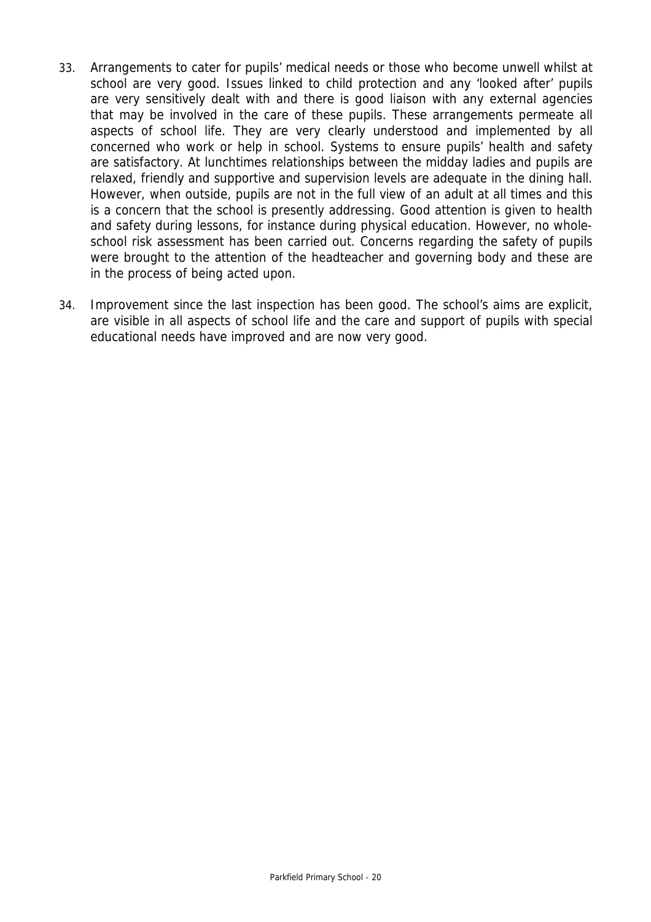- 33. Arrangements to cater for pupils' medical needs or those who become unwell whilst at school are very good. Issues linked to child protection and any 'looked after' pupils are very sensitively dealt with and there is good liaison with any external agencies that may be involved in the care of these pupils. These arrangements permeate all aspects of school life. They are very clearly understood and implemented by all concerned who work or help in school. Systems to ensure pupils' health and safety are satisfactory. At lunchtimes relationships between the midday ladies and pupils are relaxed, friendly and supportive and supervision levels are adequate in the dining hall. However, when outside, pupils are not in the full view of an adult at all times and this is a concern that the school is presently addressing. Good attention is given to health and safety during lessons, for instance during physical education. However, no wholeschool risk assessment has been carried out. Concerns regarding the safety of pupils were brought to the attention of the headteacher and governing body and these are in the process of being acted upon.
- 34. Improvement since the last inspection has been good. The school's aims are explicit, are visible in all aspects of school life and the care and support of pupils with special educational needs have improved and are now very good.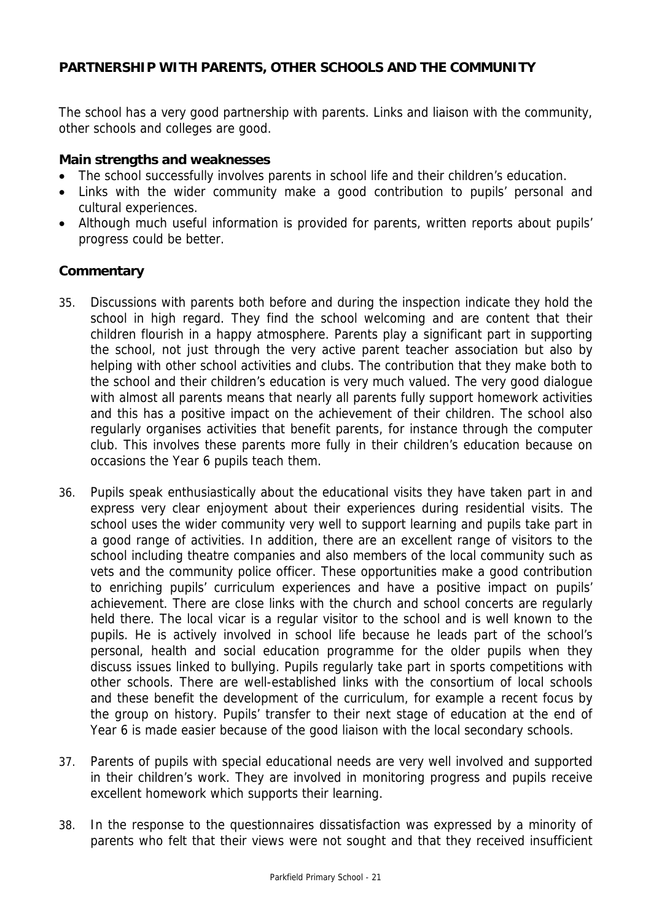# **PARTNERSHIP WITH PARENTS, OTHER SCHOOLS AND THE COMMUNITY**

The school has a very good partnership with parents. Links and liaison with the community, other schools and colleges are good.

### **Main strengths and weaknesses**

- The school successfully involves parents in school life and their children's education.
- Links with the wider community make a good contribution to pupils' personal and cultural experiences.
- Although much useful information is provided for parents, written reports about pupils' progress could be better.

#### **Commentary**

- 35. Discussions with parents both before and during the inspection indicate they hold the school in high regard. They find the school welcoming and are content that their children flourish in a happy atmosphere. Parents play a significant part in supporting the school, not just through the very active parent teacher association but also by helping with other school activities and clubs. The contribution that they make both to the school and their children's education is very much valued. The very good dialogue with almost all parents means that nearly all parents fully support homework activities and this has a positive impact on the achievement of their children. The school also regularly organises activities that benefit parents, for instance through the computer club. This involves these parents more fully in their children's education because on occasions the Year 6 pupils teach them.
- 36. Pupils speak enthusiastically about the educational visits they have taken part in and express very clear enjoyment about their experiences during residential visits. The school uses the wider community very well to support learning and pupils take part in a good range of activities. In addition, there are an excellent range of visitors to the school including theatre companies and also members of the local community such as vets and the community police officer. These opportunities make a good contribution to enriching pupils' curriculum experiences and have a positive impact on pupils' achievement. There are close links with the church and school concerts are regularly held there. The local vicar is a regular visitor to the school and is well known to the pupils. He is actively involved in school life because he leads part of the school's personal, health and social education programme for the older pupils when they discuss issues linked to bullying. Pupils regularly take part in sports competitions with other schools. There are well-established links with the consortium of local schools and these benefit the development of the curriculum, for example a recent focus by the group on history. Pupils' transfer to their next stage of education at the end of Year 6 is made easier because of the good liaison with the local secondary schools.
- 37. Parents of pupils with special educational needs are very well involved and supported in their children's work. They are involved in monitoring progress and pupils receive excellent homework which supports their learning.
- 38. In the response to the questionnaires dissatisfaction was expressed by a minority of parents who felt that their views were not sought and that they received insufficient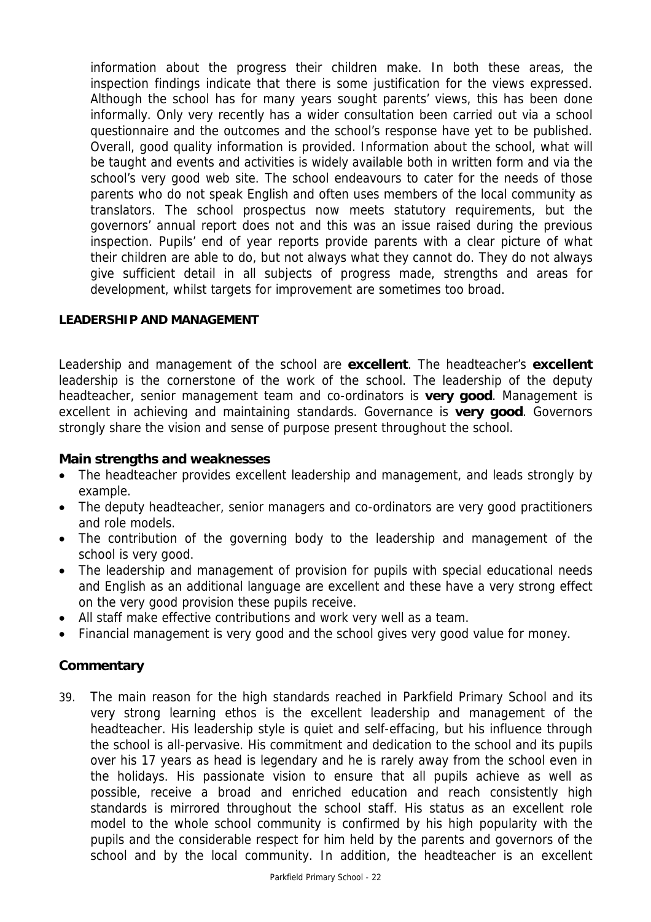information about the progress their children make. In both these areas, the inspection findings indicate that there is some justification for the views expressed. Although the school has for many years sought parents' views, this has been done informally. Only very recently has a wider consultation been carried out via a school questionnaire and the outcomes and the school's response have yet to be published. Overall, good quality information is provided. Information about the school, what will be taught and events and activities is widely available both in written form and via the school's very good web site. The school endeavours to cater for the needs of those parents who do not speak English and often uses members of the local community as translators. The school prospectus now meets statutory requirements, but the governors' annual report does not and this was an issue raised during the previous inspection. Pupils' end of year reports provide parents with a clear picture of what their children are able to do, but not always what they cannot do. They do not always give sufficient detail in all subjects of progress made, strengths and areas for development, whilst targets for improvement are sometimes too broad.

# **LEADERSHIP AND MANAGEMENT**

Leadership and management of the school are **excellent**. The headteacher's **excellent** leadership is the cornerstone of the work of the school. The leadership of the deputy headteacher, senior management team and co-ordinators is **very good**. Management is excellent in achieving and maintaining standards. Governance is **very good**. Governors strongly share the vision and sense of purpose present throughout the school.

# **Main strengths and weaknesses**

- The headteacher provides excellent leadership and management, and leads strongly by example.
- The deputy headteacher, senior managers and co-ordinators are very good practitioners and role models.
- The contribution of the governing body to the leadership and management of the school is very good.
- The leadership and management of provision for pupils with special educational needs and English as an additional language are excellent and these have a very strong effect on the very good provision these pupils receive.
- All staff make effective contributions and work very well as a team.
- Financial management is very good and the school gives very good value for money.

# **Commentary**

39. The main reason for the high standards reached in Parkfield Primary School and its very strong learning ethos is the excellent leadership and management of the headteacher. His leadership style is quiet and self-effacing, but his influence through the school is all-pervasive. His commitment and dedication to the school and its pupils over his 17 years as head is legendary and he is rarely away from the school even in the holidays. His passionate vision to ensure that all pupils achieve as well as possible, receive a broad and enriched education and reach consistently high standards is mirrored throughout the school staff. His status as an excellent role model to the whole school community is confirmed by his high popularity with the pupils and the considerable respect for him held by the parents and governors of the school and by the local community. In addition, the headteacher is an excellent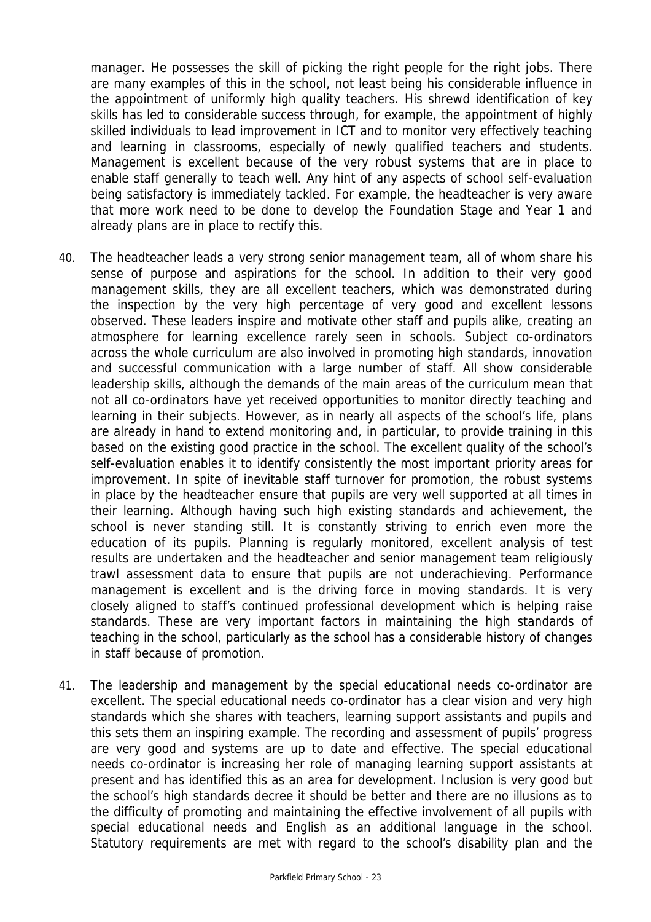manager. He possesses the skill of picking the right people for the right jobs. There are many examples of this in the school, not least being his considerable influence in the appointment of uniformly high quality teachers. His shrewd identification of key skills has led to considerable success through, for example, the appointment of highly skilled individuals to lead improvement in ICT and to monitor very effectively teaching and learning in classrooms, especially of newly qualified teachers and students. Management is excellent because of the very robust systems that are in place to enable staff generally to teach well. Any hint of any aspects of school self-evaluation being satisfactory is immediately tackled. For example, the headteacher is very aware that more work need to be done to develop the Foundation Stage and Year 1 and already plans are in place to rectify this.

- 40. The headteacher leads a very strong senior management team, all of whom share his sense of purpose and aspirations for the school. In addition to their very good management skills, they are all excellent teachers, which was demonstrated during the inspection by the very high percentage of very good and excellent lessons observed. These leaders inspire and motivate other staff and pupils alike, creating an atmosphere for learning excellence rarely seen in schools. Subject co-ordinators across the whole curriculum are also involved in promoting high standards, innovation and successful communication with a large number of staff. All show considerable leadership skills, although the demands of the main areas of the curriculum mean that not all co-ordinators have yet received opportunities to monitor directly teaching and learning in their subjects. However, as in nearly all aspects of the school's life, plans are already in hand to extend monitoring and, in particular, to provide training in this based on the existing good practice in the school. The excellent quality of the school's self-evaluation enables it to identify consistently the most important priority areas for improvement. In spite of inevitable staff turnover for promotion, the robust systems in place by the headteacher ensure that pupils are very well supported at all times in their learning. Although having such high existing standards and achievement, the school is never standing still. It is constantly striving to enrich even more the education of its pupils. Planning is regularly monitored, excellent analysis of test results are undertaken and the headteacher and senior management team religiously trawl assessment data to ensure that pupils are not underachieving. Performance management is excellent and is the driving force in moving standards. It is very closely aligned to staff's continued professional development which is helping raise standards. These are very important factors in maintaining the high standards of teaching in the school, particularly as the school has a considerable history of changes in staff because of promotion.
- 41. The leadership and management by the special educational needs co-ordinator are excellent. The special educational needs co-ordinator has a clear vision and very high standards which she shares with teachers, learning support assistants and pupils and this sets them an inspiring example. The recording and assessment of pupils' progress are very good and systems are up to date and effective. The special educational needs co-ordinator is increasing her role of managing learning support assistants at present and has identified this as an area for development. Inclusion is very good but the school's high standards decree it should be better and there are no illusions as to the difficulty of promoting and maintaining the effective involvement of all pupils with special educational needs and English as an additional language in the school. Statutory requirements are met with regard to the school's disability plan and the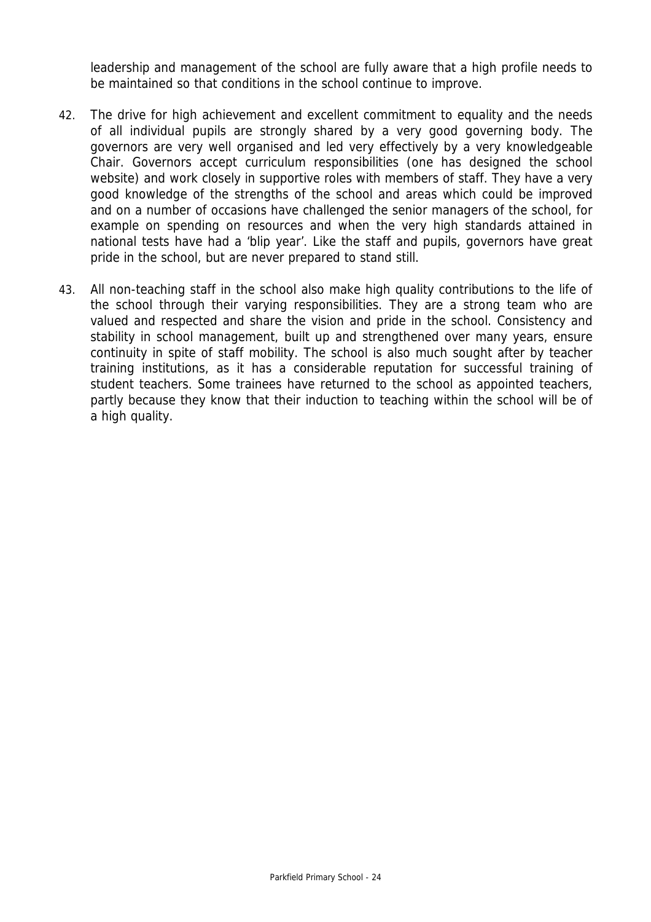leadership and management of the school are fully aware that a high profile needs to be maintained so that conditions in the school continue to improve.

- 42. The drive for high achievement and excellent commitment to equality and the needs of all individual pupils are strongly shared by a very good governing body. The governors are very well organised and led very effectively by a very knowledgeable Chair. Governors accept curriculum responsibilities (one has designed the school website) and work closely in supportive roles with members of staff. They have a very good knowledge of the strengths of the school and areas which could be improved and on a number of occasions have challenged the senior managers of the school, for example on spending on resources and when the very high standards attained in national tests have had a 'blip year'. Like the staff and pupils, governors have great pride in the school, but are never prepared to stand still.
- 43. All non-teaching staff in the school also make high quality contributions to the life of the school through their varying responsibilities. They are a strong team who are valued and respected and share the vision and pride in the school. Consistency and stability in school management, built up and strengthened over many years, ensure continuity in spite of staff mobility. The school is also much sought after by teacher training institutions, as it has a considerable reputation for successful training of student teachers. Some trainees have returned to the school as appointed teachers, partly because they know that their induction to teaching within the school will be of a high quality.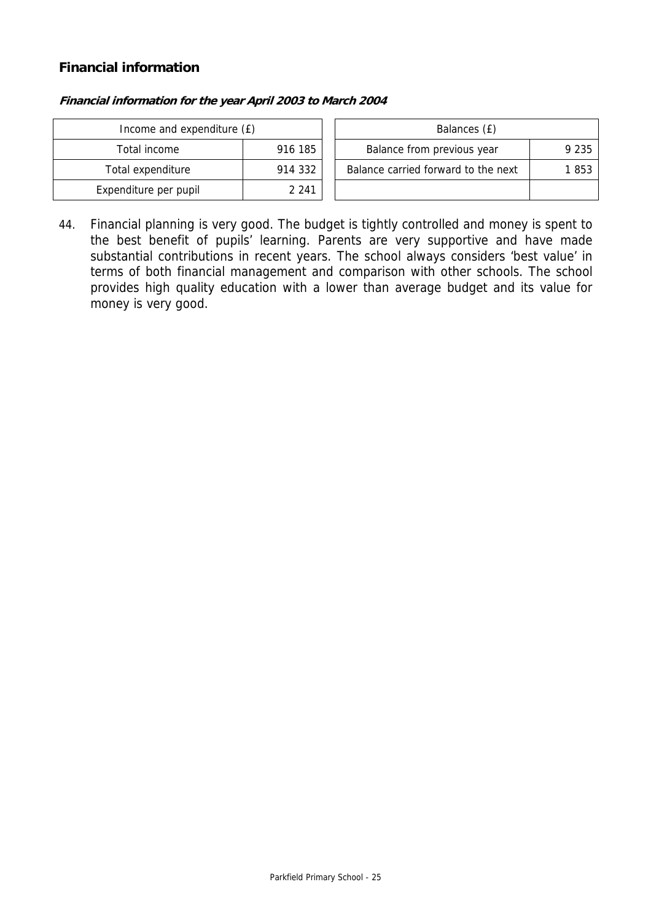# **Financial information**

| Income and expenditure (£) |         | Balances (£)                        |         |  |
|----------------------------|---------|-------------------------------------|---------|--|
| Total income               | 916 185 | Balance from previous year          | 9 2 3 5 |  |
| Total expenditure          | 914 332 | Balance carried forward to the next | 853     |  |
| Expenditure per pupil      | 2 2 4 1 |                                     |         |  |

#### **Financial information for the year April 2003 to March 2004**

44. Financial planning is very good. The budget is tightly controlled and money is spent to the best benefit of pupils' learning. Parents are very supportive and have made substantial contributions in recent years. The school always considers 'best value' in terms of both financial management and comparison with other schools. The school provides high quality education with a lower than average budget and its value for money is very good.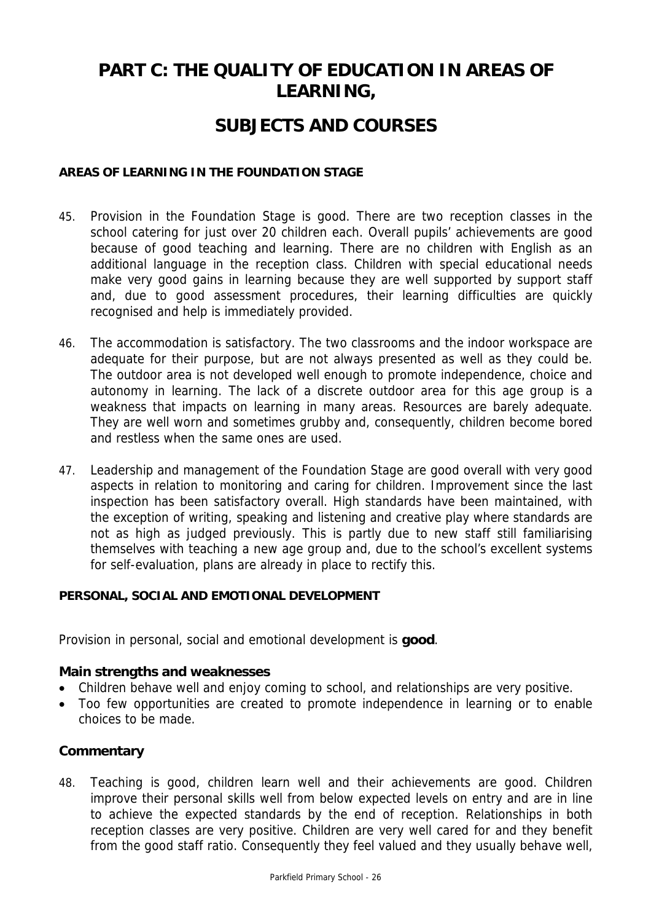# **PART C: THE QUALITY OF EDUCATION IN AREAS OF LEARNING,**

# **SUBJECTS AND COURSES**

### **AREAS OF LEARNING IN THE FOUNDATION STAGE**

- 45. Provision in the Foundation Stage is good. There are two reception classes in the school catering for just over 20 children each. Overall pupils' achievements are good because of good teaching and learning. There are no children with English as an additional language in the reception class. Children with special educational needs make very good gains in learning because they are well supported by support staff and, due to good assessment procedures, their learning difficulties are quickly recognised and help is immediately provided.
- 46. The accommodation is satisfactory. The two classrooms and the indoor workspace are adequate for their purpose, but are not always presented as well as they could be. The outdoor area is not developed well enough to promote independence, choice and autonomy in learning. The lack of a discrete outdoor area for this age group is a weakness that impacts on learning in many areas. Resources are barely adequate. They are well worn and sometimes grubby and, consequently, children become bored and restless when the same ones are used.
- 47. Leadership and management of the Foundation Stage are good overall with very good aspects in relation to monitoring and caring for children. Improvement since the last inspection has been satisfactory overall. High standards have been maintained, with the exception of writing, speaking and listening and creative play where standards are not as high as judged previously. This is partly due to new staff still familiarising themselves with teaching a new age group and, due to the school's excellent systems for self-evaluation, plans are already in place to rectify this.

#### **PERSONAL, SOCIAL AND EMOTIONAL DEVELOPMENT**

Provision in personal, social and emotional development is **good**.

# **Main strengths and weaknesses**

- Children behave well and enjoy coming to school, and relationships are very positive.
- Too few opportunities are created to promote independence in learning or to enable choices to be made.

# **Commentary**

48. Teaching is good, children learn well and their achievements are good. Children improve their personal skills well from below expected levels on entry and are in line to achieve the expected standards by the end of reception. Relationships in both reception classes are very positive. Children are very well cared for and they benefit from the good staff ratio. Consequently they feel valued and they usually behave well,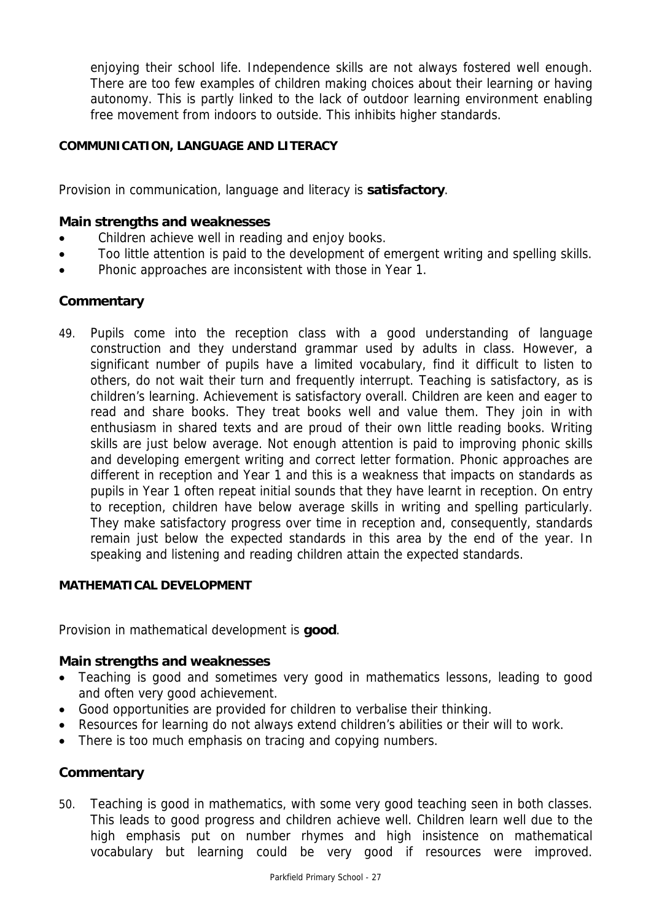enjoying their school life. Independence skills are not always fostered well enough. There are too few examples of children making choices about their learning or having autonomy. This is partly linked to the lack of outdoor learning environment enabling free movement from indoors to outside. This inhibits higher standards.

# **COMMUNICATION, LANGUAGE AND LITERACY**

Provision in communication, language and literacy is **satisfactory**.

#### **Main strengths and weaknesses**

- Children achieve well in reading and enjoy books.
- Too little attention is paid to the development of emergent writing and spelling skills.
- Phonic approaches are inconsistent with those in Year 1.

#### **Commentary**

49. Pupils come into the reception class with a good understanding of language construction and they understand grammar used by adults in class. However, a significant number of pupils have a limited vocabulary, find it difficult to listen to others, do not wait their turn and frequently interrupt. Teaching is satisfactory, as is children's learning. Achievement is satisfactory overall. Children are keen and eager to read and share books. They treat books well and value them. They join in with enthusiasm in shared texts and are proud of their own little reading books. Writing skills are just below average. Not enough attention is paid to improving phonic skills and developing emergent writing and correct letter formation. Phonic approaches are different in reception and Year 1 and this is a weakness that impacts on standards as pupils in Year 1 often repeat initial sounds that they have learnt in reception. On entry to reception, children have below average skills in writing and spelling particularly. They make satisfactory progress over time in reception and, consequently, standards remain just below the expected standards in this area by the end of the year. In speaking and listening and reading children attain the expected standards.

#### **MATHEMATICAL DEVELOPMENT**

Provision in mathematical development is **good**.

#### **Main strengths and weaknesses**

- Teaching is good and sometimes very good in mathematics lessons, leading to good and often very good achievement.
- Good opportunities are provided for children to verbalise their thinking.
- Resources for learning do not always extend children's abilities or their will to work.
- There is too much emphasis on tracing and copying numbers.

# **Commentary**

50. Teaching is good in mathematics, with some very good teaching seen in both classes. This leads to good progress and children achieve well. Children learn well due to the high emphasis put on number rhymes and high insistence on mathematical vocabulary but learning could be very good if resources were improved.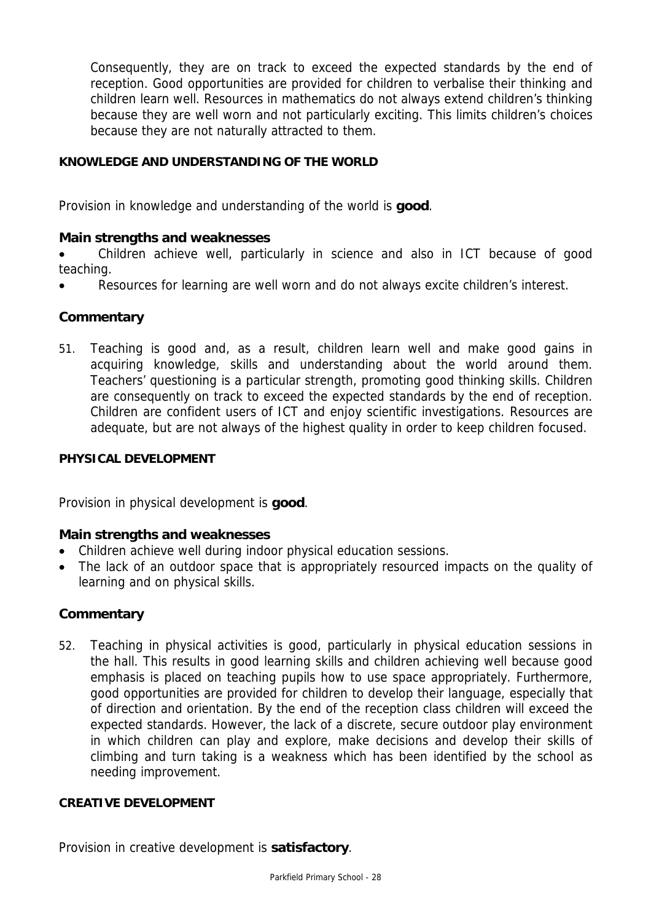Consequently, they are on track to exceed the expected standards by the end of reception. Good opportunities are provided for children to verbalise their thinking and children learn well. Resources in mathematics do not always extend children's thinking because they are well worn and not particularly exciting. This limits children's choices because they are not naturally attracted to them.

# **KNOWLEDGE AND UNDERSTANDING OF THE WORLD**

Provision in knowledge and understanding of the world is **good**.

# **Main strengths and weaknesses**

• Children achieve well, particularly in science and also in ICT because of good teaching.

• Resources for learning are well worn and do not always excite children's interest.

# **Commentary**

51. Teaching is good and, as a result, children learn well and make good gains in acquiring knowledge, skills and understanding about the world around them. Teachers' questioning is a particular strength, promoting good thinking skills. Children are consequently on track to exceed the expected standards by the end of reception. Children are confident users of ICT and enjoy scientific investigations. Resources are adequate, but are not always of the highest quality in order to keep children focused.

### **PHYSICAL DEVELOPMENT**

Provision in physical development is **good**.

# **Main strengths and weaknesses**

- Children achieve well during indoor physical education sessions.
- The lack of an outdoor space that is appropriately resourced impacts on the quality of learning and on physical skills.

# **Commentary**

52. Teaching in physical activities is good, particularly in physical education sessions in the hall. This results in good learning skills and children achieving well because good emphasis is placed on teaching pupils how to use space appropriately. Furthermore, good opportunities are provided for children to develop their language, especially that of direction and orientation. By the end of the reception class children will exceed the expected standards. However, the lack of a discrete, secure outdoor play environment in which children can play and explore, make decisions and develop their skills of climbing and turn taking is a weakness which has been identified by the school as needing improvement.

# **CREATIVE DEVELOPMENT**

Provision in creative development is **satisfactory**.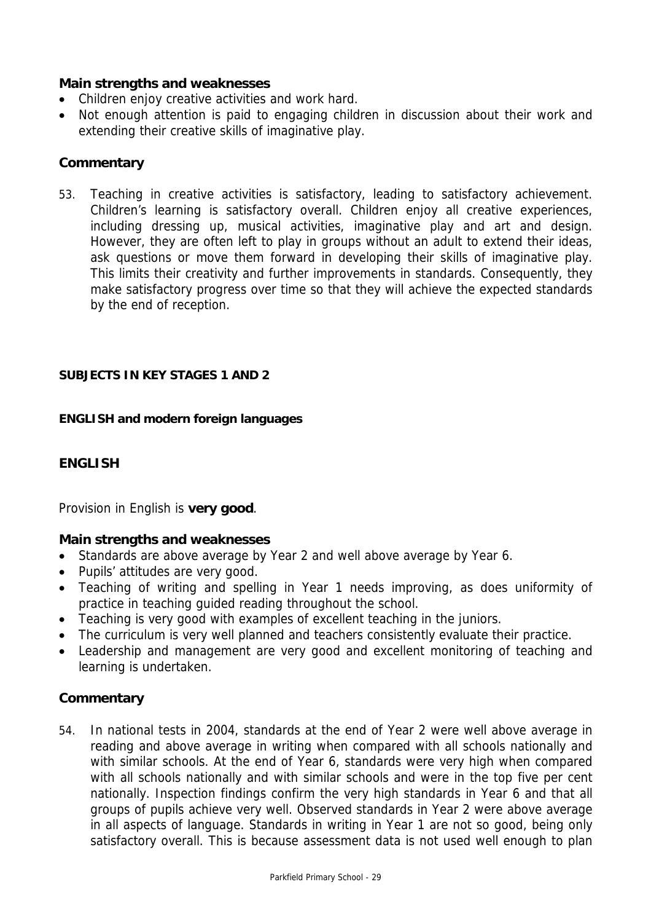# **Main strengths and weaknesses**

- Children enjoy creative activities and work hard.
- Not enough attention is paid to engaging children in discussion about their work and extending their creative skills of imaginative play.

# **Commentary**

53. Teaching in creative activities is satisfactory, leading to satisfactory achievement. Children's learning is satisfactory overall. Children enjoy all creative experiences, including dressing up, musical activities, imaginative play and art and design. However, they are often left to play in groups without an adult to extend their ideas, ask questions or move them forward in developing their skills of imaginative play. This limits their creativity and further improvements in standards. Consequently, they make satisfactory progress over time so that they will achieve the expected standards by the end of reception.

# **SUBJECTS IN KEY STAGES 1 AND 2**

#### **ENGLISH and modern foreign languages**

# **ENGLISH**

Provision in English is **very good**.

# **Main strengths and weaknesses**

- Standards are above average by Year 2 and well above average by Year 6.
- Pupils' attitudes are very good.
- Teaching of writing and spelling in Year 1 needs improving, as does uniformity of practice in teaching guided reading throughout the school.
- Teaching is very good with examples of excellent teaching in the juniors.
- The curriculum is very well planned and teachers consistently evaluate their practice.
- Leadership and management are very good and excellent monitoring of teaching and learning is undertaken.

# **Commentary**

54. In national tests in 2004, standards at the end of Year 2 were well above average in reading and above average in writing when compared with all schools nationally and with similar schools. At the end of Year 6, standards were very high when compared with all schools nationally and with similar schools and were in the top five per cent nationally. Inspection findings confirm the very high standards in Year 6 and that all groups of pupils achieve very well. Observed standards in Year 2 were above average in all aspects of language. Standards in writing in Year 1 are not so good, being only satisfactory overall. This is because assessment data is not used well enough to plan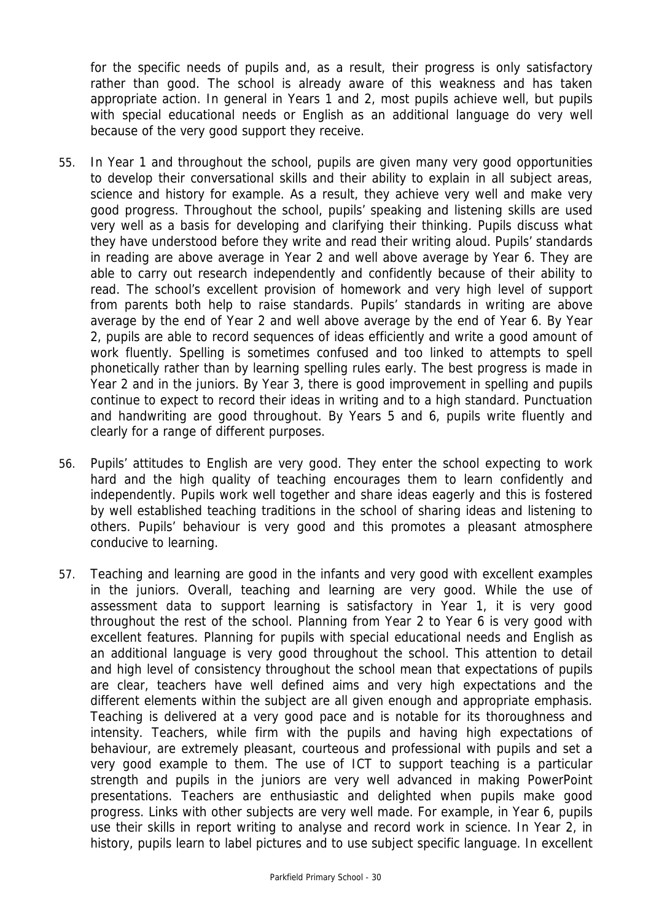for the specific needs of pupils and, as a result, their progress is only satisfactory rather than good. The school is already aware of this weakness and has taken appropriate action. In general in Years 1 and 2, most pupils achieve well, but pupils with special educational needs or English as an additional language do very well because of the very good support they receive.

- 55. In Year 1 and throughout the school, pupils are given many very good opportunities to develop their conversational skills and their ability to explain in all subject areas, science and history for example. As a result, they achieve very well and make very good progress. Throughout the school, pupils' speaking and listening skills are used very well as a basis for developing and clarifying their thinking. Pupils discuss what they have understood before they write and read their writing aloud. Pupils' standards in reading are above average in Year 2 and well above average by Year 6. They are able to carry out research independently and confidently because of their ability to read. The school's excellent provision of homework and very high level of support from parents both help to raise standards. Pupils' standards in writing are above average by the end of Year 2 and well above average by the end of Year 6. By Year 2, pupils are able to record sequences of ideas efficiently and write a good amount of work fluently. Spelling is sometimes confused and too linked to attempts to spell phonetically rather than by learning spelling rules early. The best progress is made in Year 2 and in the juniors. By Year 3, there is good improvement in spelling and pupils continue to expect to record their ideas in writing and to a high standard. Punctuation and handwriting are good throughout. By Years 5 and 6, pupils write fluently and clearly for a range of different purposes.
- 56. Pupils' attitudes to English are very good. They enter the school expecting to work hard and the high quality of teaching encourages them to learn confidently and independently. Pupils work well together and share ideas eagerly and this is fostered by well established teaching traditions in the school of sharing ideas and listening to others. Pupils' behaviour is very good and this promotes a pleasant atmosphere conducive to learning.
- 57. Teaching and learning are good in the infants and very good with excellent examples in the juniors. Overall, teaching and learning are very good. While the use of assessment data to support learning is satisfactory in Year 1, it is very good throughout the rest of the school. Planning from Year 2 to Year 6 is very good with excellent features. Planning for pupils with special educational needs and English as an additional language is very good throughout the school. This attention to detail and high level of consistency throughout the school mean that expectations of pupils are clear, teachers have well defined aims and very high expectations and the different elements within the subject are all given enough and appropriate emphasis. Teaching is delivered at a very good pace and is notable for its thoroughness and intensity. Teachers, while firm with the pupils and having high expectations of behaviour, are extremely pleasant, courteous and professional with pupils and set a very good example to them. The use of ICT to support teaching is a particular strength and pupils in the juniors are very well advanced in making PowerPoint presentations. Teachers are enthusiastic and delighted when pupils make good progress. Links with other subjects are very well made. For example, in Year 6, pupils use their skills in report writing to analyse and record work in science. In Year 2, in history, pupils learn to label pictures and to use subject specific language. In excellent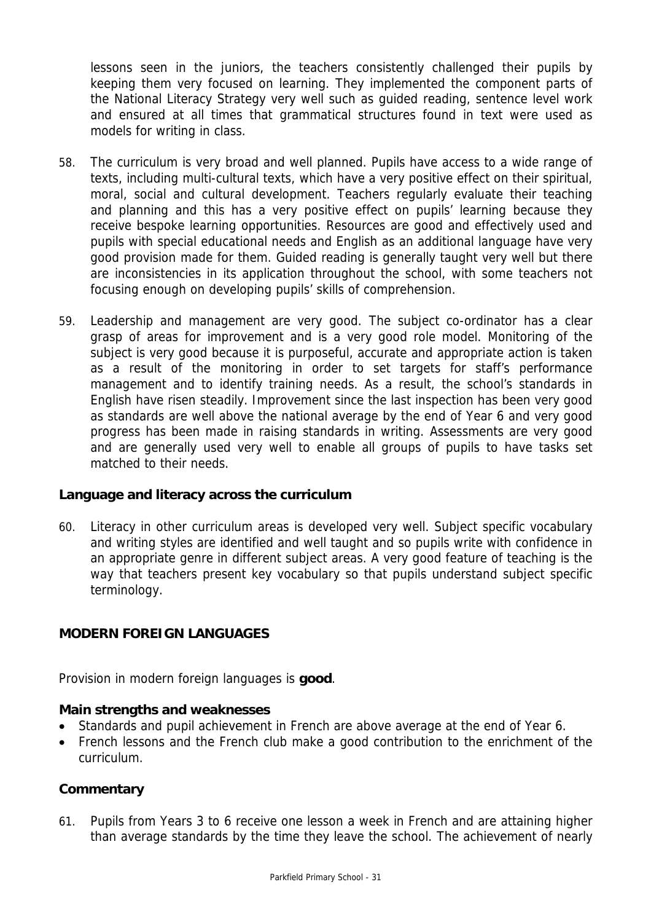lessons seen in the juniors, the teachers consistently challenged their pupils by keeping them very focused on learning. They implemented the component parts of the National Literacy Strategy very well such as guided reading, sentence level work and ensured at all times that grammatical structures found in text were used as models for writing in class.

- 58. The curriculum is very broad and well planned. Pupils have access to a wide range of texts, including multi-cultural texts, which have a very positive effect on their spiritual, moral, social and cultural development. Teachers regularly evaluate their teaching and planning and this has a very positive effect on pupils' learning because they receive bespoke learning opportunities. Resources are good and effectively used and pupils with special educational needs and English as an additional language have very good provision made for them. Guided reading is generally taught very well but there are inconsistencies in its application throughout the school, with some teachers not focusing enough on developing pupils' skills of comprehension.
- 59. Leadership and management are very good. The subject co-ordinator has a clear grasp of areas for improvement and is a very good role model. Monitoring of the subject is very good because it is purposeful, accurate and appropriate action is taken as a result of the monitoring in order to set targets for staff's performance management and to identify training needs. As a result, the school's standards in English have risen steadily. Improvement since the last inspection has been very good as standards are well above the national average by the end of Year 6 and very good progress has been made in raising standards in writing. Assessments are very good and are generally used very well to enable all groups of pupils to have tasks set matched to their needs.

#### **Language and literacy across the curriculum**

60. Literacy in other curriculum areas is developed very well. Subject specific vocabulary and writing styles are identified and well taught and so pupils write with confidence in an appropriate genre in different subject areas. A very good feature of teaching is the way that teachers present key vocabulary so that pupils understand subject specific terminology.

# **MODERN FOREIGN LANGUAGES**

Provision in modern foreign languages is **good**.

#### **Main strengths and weaknesses**

- Standards and pupil achievement in French are above average at the end of Year 6.
- French lessons and the French club make a good contribution to the enrichment of the curriculum.

#### **Commentary**

61. Pupils from Years 3 to 6 receive one lesson a week in French and are attaining higher than average standards by the time they leave the school. The achievement of nearly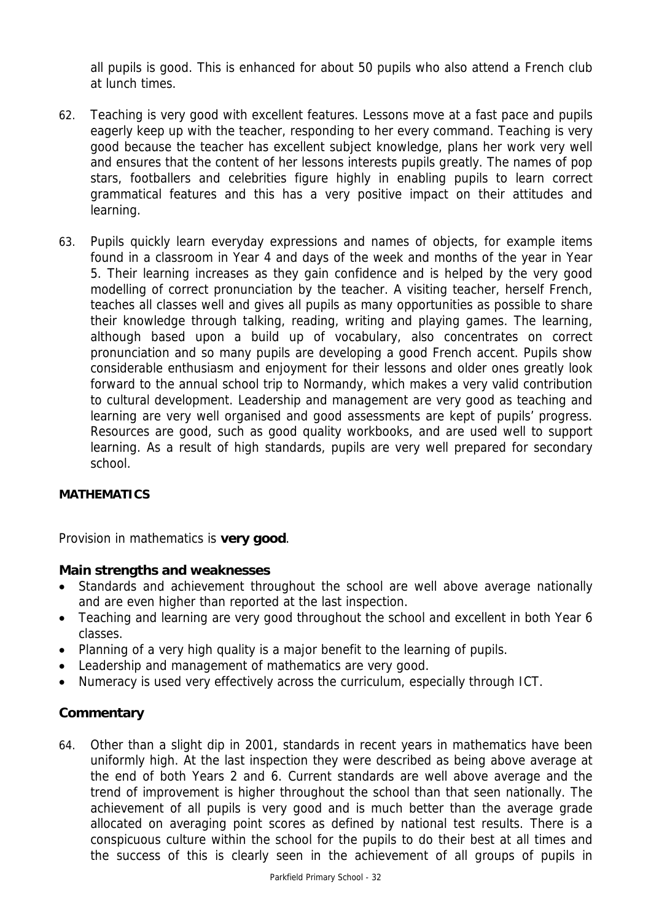all pupils is good. This is enhanced for about 50 pupils who also attend a French club at lunch times.

- 62. Teaching is very good with excellent features. Lessons move at a fast pace and pupils eagerly keep up with the teacher, responding to her every command. Teaching is very good because the teacher has excellent subject knowledge, plans her work very well and ensures that the content of her lessons interests pupils greatly. The names of pop stars, footballers and celebrities figure highly in enabling pupils to learn correct grammatical features and this has a very positive impact on their attitudes and learning.
- 63. Pupils quickly learn everyday expressions and names of objects, for example items found in a classroom in Year 4 and days of the week and months of the year in Year 5. Their learning increases as they gain confidence and is helped by the very good modelling of correct pronunciation by the teacher. A visiting teacher, herself French, teaches all classes well and gives all pupils as many opportunities as possible to share their knowledge through talking, reading, writing and playing games. The learning, although based upon a build up of vocabulary, also concentrates on correct pronunciation and so many pupils are developing a good French accent. Pupils show considerable enthusiasm and enjoyment for their lessons and older ones greatly look forward to the annual school trip to Normandy, which makes a very valid contribution to cultural development. Leadership and management are very good as teaching and learning are very well organised and good assessments are kept of pupils' progress. Resources are good, such as good quality workbooks, and are used well to support learning. As a result of high standards, pupils are very well prepared for secondary school.

# **MATHEMATICS**

Provision in mathematics is **very good**.

# **Main strengths and weaknesses**

- Standards and achievement throughout the school are well above average nationally and are even higher than reported at the last inspection.
- Teaching and learning are very good throughout the school and excellent in both Year 6 classes.
- Planning of a very high quality is a major benefit to the learning of pupils.
- Leadership and management of mathematics are very good.
- Numeracy is used very effectively across the curriculum, especially through ICT.

# **Commentary**

64. Other than a slight dip in 2001, standards in recent years in mathematics have been uniformly high. At the last inspection they were described as being above average at the end of both Years 2 and 6. Current standards are well above average and the trend of improvement is higher throughout the school than that seen nationally. The achievement of all pupils is very good and is much better than the average grade allocated on averaging point scores as defined by national test results. There is a conspicuous culture within the school for the pupils to do their best at all times and the success of this is clearly seen in the achievement of all groups of pupils in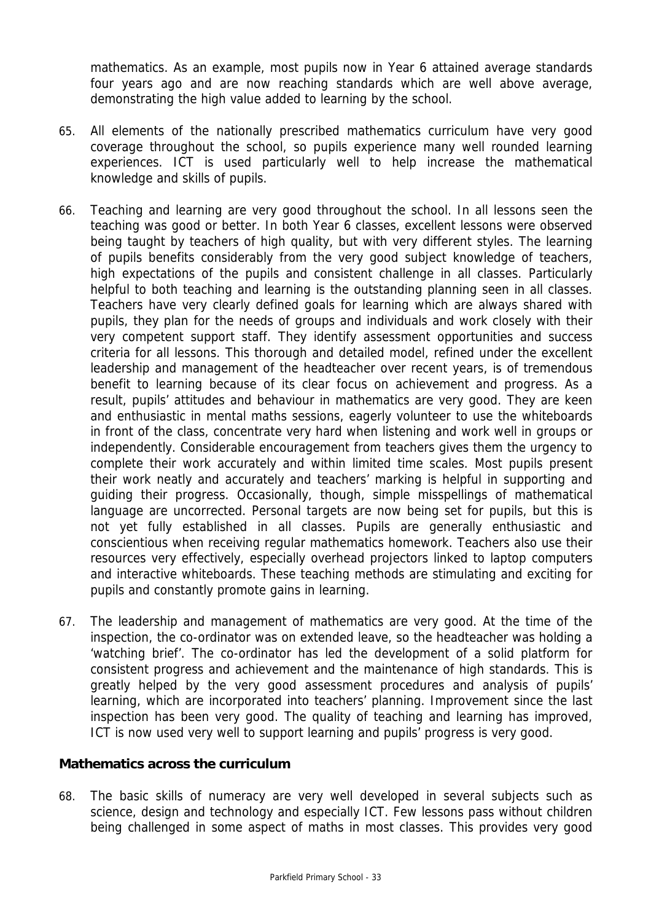mathematics. As an example, most pupils now in Year 6 attained average standards four years ago and are now reaching standards which are well above average, demonstrating the high value added to learning by the school.

- 65. All elements of the nationally prescribed mathematics curriculum have very good coverage throughout the school, so pupils experience many well rounded learning experiences. ICT is used particularly well to help increase the mathematical knowledge and skills of pupils.
- 66. Teaching and learning are very good throughout the school. In all lessons seen the teaching was good or better. In both Year 6 classes, excellent lessons were observed being taught by teachers of high quality, but with very different styles. The learning of pupils benefits considerably from the very good subject knowledge of teachers, high expectations of the pupils and consistent challenge in all classes. Particularly helpful to both teaching and learning is the outstanding planning seen in all classes. Teachers have very clearly defined goals for learning which are always shared with pupils, they plan for the needs of groups and individuals and work closely with their very competent support staff. They identify assessment opportunities and success criteria for all lessons. This thorough and detailed model, refined under the excellent leadership and management of the headteacher over recent years, is of tremendous benefit to learning because of its clear focus on achievement and progress. As a result, pupils' attitudes and behaviour in mathematics are very good. They are keen and enthusiastic in mental maths sessions, eagerly volunteer to use the whiteboards in front of the class, concentrate very hard when listening and work well in groups or independently. Considerable encouragement from teachers gives them the urgency to complete their work accurately and within limited time scales. Most pupils present their work neatly and accurately and teachers' marking is helpful in supporting and guiding their progress. Occasionally, though, simple misspellings of mathematical language are uncorrected. Personal targets are now being set for pupils, but this is not yet fully established in all classes. Pupils are generally enthusiastic and conscientious when receiving regular mathematics homework. Teachers also use their resources very effectively, especially overhead projectors linked to laptop computers and interactive whiteboards. These teaching methods are stimulating and exciting for pupils and constantly promote gains in learning.
- 67. The leadership and management of mathematics are very good. At the time of the inspection, the co-ordinator was on extended leave, so the headteacher was holding a 'watching brief'. The co-ordinator has led the development of a solid platform for consistent progress and achievement and the maintenance of high standards. This is greatly helped by the very good assessment procedures and analysis of pupils' learning, which are incorporated into teachers' planning. Improvement since the last inspection has been very good. The quality of teaching and learning has improved, ICT is now used very well to support learning and pupils' progress is very good.

# **Mathematics across the curriculum**

68. The basic skills of numeracy are very well developed in several subjects such as science, design and technology and especially ICT. Few lessons pass without children being challenged in some aspect of maths in most classes. This provides very good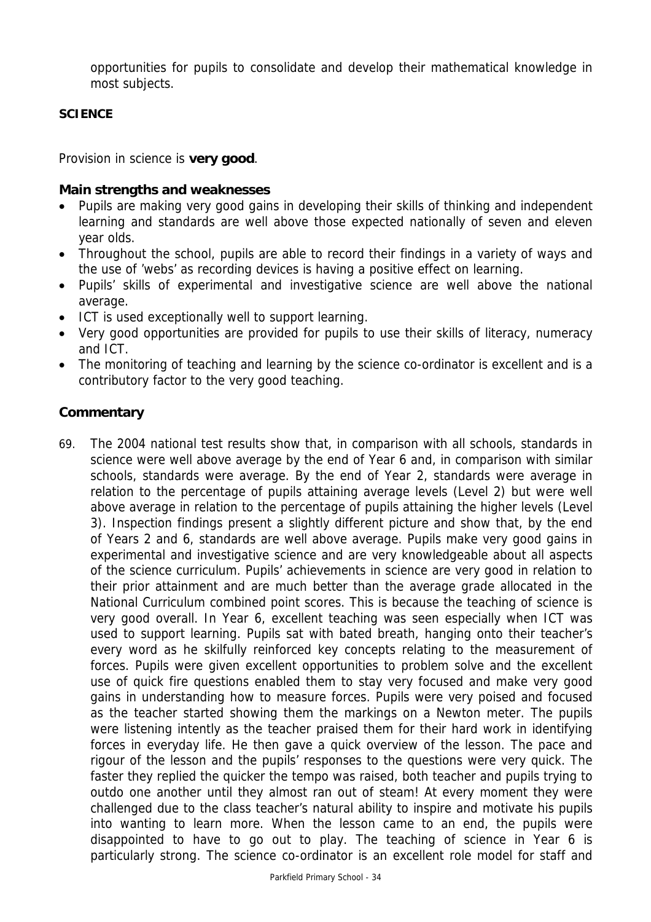opportunities for pupils to consolidate and develop their mathematical knowledge in most subjects.

# **SCIENCE**

Provision in science is **very good**.

# **Main strengths and weaknesses**

- Pupils are making very good gains in developing their skills of thinking and independent learning and standards are well above those expected nationally of seven and eleven year olds.
- Throughout the school, pupils are able to record their findings in a variety of ways and the use of 'webs' as recording devices is having a positive effect on learning.
- Pupils' skills of experimental and investigative science are well above the national average.
- ICT is used exceptionally well to support learning.
- Very good opportunities are provided for pupils to use their skills of literacy, numeracy and ICT.
- The monitoring of teaching and learning by the science co-ordinator is excellent and is a contributory factor to the very good teaching.

# **Commentary**

69. The 2004 national test results show that, in comparison with all schools, standards in science were well above average by the end of Year 6 and, in comparison with similar schools, standards were average. By the end of Year 2, standards were average in relation to the percentage of pupils attaining average levels (Level 2) but were well above average in relation to the percentage of pupils attaining the higher levels (Level 3). Inspection findings present a slightly different picture and show that, by the end of Years 2 and 6, standards are well above average. Pupils make very good gains in experimental and investigative science and are very knowledgeable about all aspects of the science curriculum. Pupils' achievements in science are very good in relation to their prior attainment and are much better than the average grade allocated in the National Curriculum combined point scores. This is because the teaching of science is very good overall. In Year 6, excellent teaching was seen especially when ICT was used to support learning. Pupils sat with bated breath, hanging onto their teacher's every word as he skilfully reinforced key concepts relating to the measurement of forces. Pupils were given excellent opportunities to problem solve and the excellent use of quick fire questions enabled them to stay very focused and make very good gains in understanding how to measure forces. Pupils were very poised and focused as the teacher started showing them the markings on a Newton meter. The pupils were listening intently as the teacher praised them for their hard work in identifying forces in everyday life. He then gave a quick overview of the lesson. The pace and rigour of the lesson and the pupils' responses to the questions were very quick. The faster they replied the quicker the tempo was raised, both teacher and pupils trying to outdo one another until they almost ran out of steam! At every moment they were challenged due to the class teacher's natural ability to inspire and motivate his pupils into wanting to learn more. When the lesson came to an end, the pupils were disappointed to have to go out to play. The teaching of science in Year 6 is particularly strong. The science co-ordinator is an excellent role model for staff and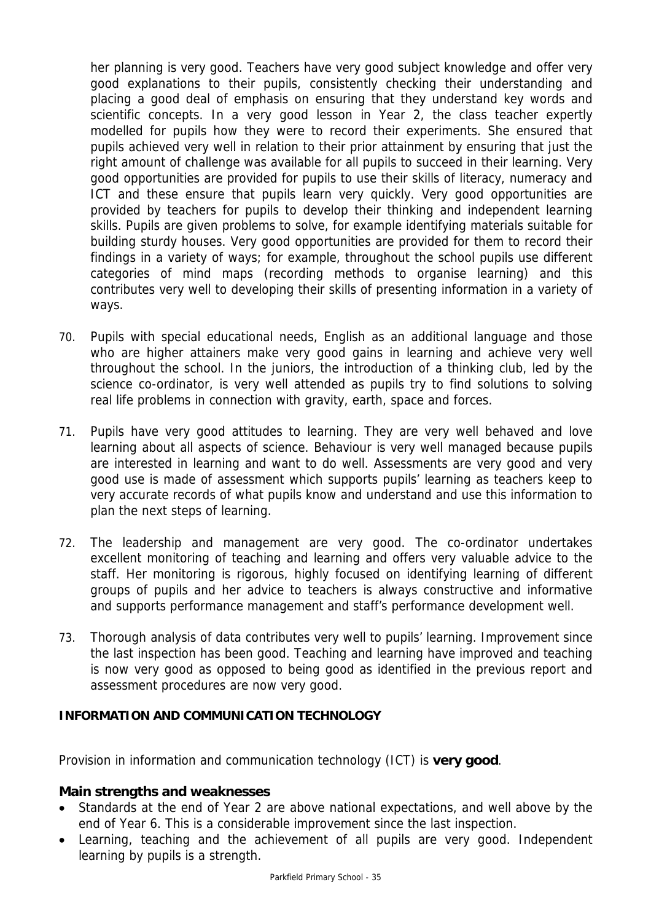her planning is very good. Teachers have very good subject knowledge and offer very good explanations to their pupils, consistently checking their understanding and placing a good deal of emphasis on ensuring that they understand key words and scientific concepts. In a very good lesson in Year 2, the class teacher expertly modelled for pupils how they were to record their experiments. She ensured that pupils achieved very well in relation to their prior attainment by ensuring that just the right amount of challenge was available for all pupils to succeed in their learning. Very good opportunities are provided for pupils to use their skills of literacy, numeracy and ICT and these ensure that pupils learn very quickly. Very good opportunities are provided by teachers for pupils to develop their thinking and independent learning skills. Pupils are given problems to solve, for example identifying materials suitable for building sturdy houses. Very good opportunities are provided for them to record their findings in a variety of ways; for example, throughout the school pupils use different categories of mind maps (recording methods to organise learning) and this contributes very well to developing their skills of presenting information in a variety of ways.

- 70. Pupils with special educational needs, English as an additional language and those who are higher attainers make very good gains in learning and achieve very well throughout the school. In the juniors, the introduction of a thinking club, led by the science co-ordinator, is very well attended as pupils try to find solutions to solving real life problems in connection with gravity, earth, space and forces.
- 71. Pupils have very good attitudes to learning. They are very well behaved and love learning about all aspects of science. Behaviour is very well managed because pupils are interested in learning and want to do well. Assessments are very good and very good use is made of assessment which supports pupils' learning as teachers keep to very accurate records of what pupils know and understand and use this information to plan the next steps of learning.
- 72. The leadership and management are very good. The co-ordinator undertakes excellent monitoring of teaching and learning and offers very valuable advice to the staff. Her monitoring is rigorous, highly focused on identifying learning of different groups of pupils and her advice to teachers is always constructive and informative and supports performance management and staff's performance development well.
- 73. Thorough analysis of data contributes very well to pupils' learning. Improvement since the last inspection has been good. Teaching and learning have improved and teaching is now very good as opposed to being good as identified in the previous report and assessment procedures are now very good.

# **INFORMATION AND COMMUNICATION TECHNOLOGY**

Provision in information and communication technology (ICT) is **very good**.

#### **Main strengths and weaknesses**

- Standards at the end of Year 2 are above national expectations, and well above by the end of Year 6. This is a considerable improvement since the last inspection.
- Learning, teaching and the achievement of all pupils are very good. Independent learning by pupils is a strength.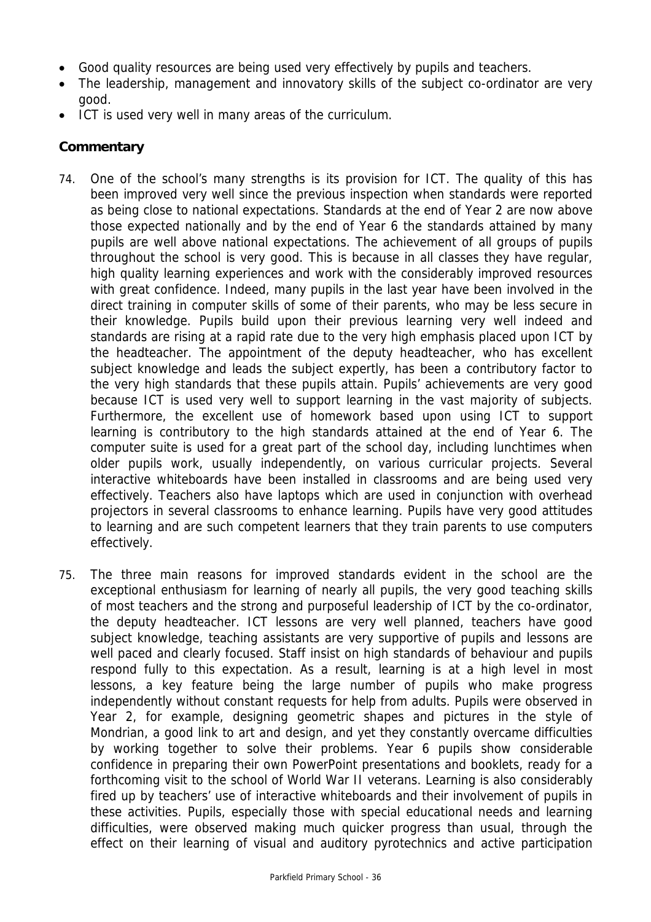- Good quality resources are being used very effectively by pupils and teachers.
- The leadership, management and innovatory skills of the subject co-ordinator are very good.
- ICT is used very well in many areas of the curriculum.

# **Commentary**

- 74. One of the school's many strengths is its provision for ICT. The quality of this has been improved very well since the previous inspection when standards were reported as being close to national expectations. Standards at the end of Year 2 are now above those expected nationally and by the end of Year 6 the standards attained by many pupils are well above national expectations. The achievement of all groups of pupils throughout the school is very good. This is because in all classes they have regular, high quality learning experiences and work with the considerably improved resources with great confidence. Indeed, many pupils in the last year have been involved in the direct training in computer skills of some of their parents, who may be less secure in their knowledge. Pupils build upon their previous learning very well indeed and standards are rising at a rapid rate due to the very high emphasis placed upon ICT by the headteacher. The appointment of the deputy headteacher, who has excellent subject knowledge and leads the subject expertly, has been a contributory factor to the very high standards that these pupils attain. Pupils' achievements are very good because ICT is used very well to support learning in the vast majority of subjects. Furthermore, the excellent use of homework based upon using ICT to support learning is contributory to the high standards attained at the end of Year 6. The computer suite is used for a great part of the school day, including lunchtimes when older pupils work, usually independently, on various curricular projects. Several interactive whiteboards have been installed in classrooms and are being used very effectively. Teachers also have laptops which are used in conjunction with overhead projectors in several classrooms to enhance learning. Pupils have very good attitudes to learning and are such competent learners that they train parents to use computers effectively.
- 75. The three main reasons for improved standards evident in the school are the exceptional enthusiasm for learning of nearly all pupils, the very good teaching skills of most teachers and the strong and purposeful leadership of ICT by the co-ordinator, the deputy headteacher. ICT lessons are very well planned, teachers have good subject knowledge, teaching assistants are very supportive of pupils and lessons are well paced and clearly focused. Staff insist on high standards of behaviour and pupils respond fully to this expectation. As a result, learning is at a high level in most lessons, a key feature being the large number of pupils who make progress independently without constant requests for help from adults. Pupils were observed in Year 2, for example, designing geometric shapes and pictures in the style of Mondrian, a good link to art and design, and yet they constantly overcame difficulties by working together to solve their problems. Year 6 pupils show considerable confidence in preparing their own PowerPoint presentations and booklets, ready for a forthcoming visit to the school of World War II veterans. Learning is also considerably fired up by teachers' use of interactive whiteboards and their involvement of pupils in these activities. Pupils, especially those with special educational needs and learning difficulties, were observed making much quicker progress than usual, through the effect on their learning of visual and auditory pyrotechnics and active participation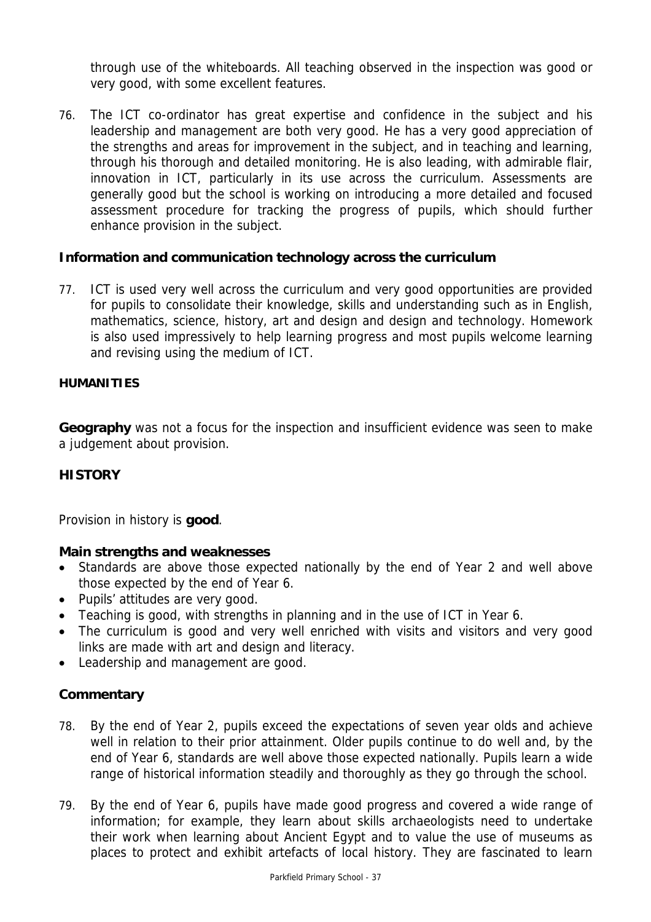through use of the whiteboards. All teaching observed in the inspection was good or very good, with some excellent features.

76. The ICT co-ordinator has great expertise and confidence in the subject and his leadership and management are both very good. He has a very good appreciation of the strengths and areas for improvement in the subject, and in teaching and learning, through his thorough and detailed monitoring. He is also leading, with admirable flair, innovation in ICT, particularly in its use across the curriculum. Assessments are generally good but the school is working on introducing a more detailed and focused assessment procedure for tracking the progress of pupils, which should further enhance provision in the subject.

# **Information and communication technology across the curriculum**

77. ICT is used very well across the curriculum and very good opportunities are provided for pupils to consolidate their knowledge, skills and understanding such as in English, mathematics, science, history, art and design and design and technology. Homework is also used impressively to help learning progress and most pupils welcome learning and revising using the medium of ICT.

# **HUMANITIES**

**Geography** was not a focus for the inspection and insufficient evidence was seen to make a judgement about provision.

# **HISTORY**

Provision in history is **good**.

# **Main strengths and weaknesses**

- Standards are above those expected nationally by the end of Year 2 and well above those expected by the end of Year 6.
- Pupils' attitudes are very good.
- Teaching is good, with strengths in planning and in the use of ICT in Year 6.
- The curriculum is good and very well enriched with visits and visitors and very good links are made with art and design and literacy.
- Leadership and management are good.

# **Commentary**

- 78. By the end of Year 2, pupils exceed the expectations of seven year olds and achieve well in relation to their prior attainment. Older pupils continue to do well and, by the end of Year 6, standards are well above those expected nationally. Pupils learn a wide range of historical information steadily and thoroughly as they go through the school.
- 79. By the end of Year 6, pupils have made good progress and covered a wide range of information; for example, they learn about skills archaeologists need to undertake their work when learning about Ancient Egypt and to value the use of museums as places to protect and exhibit artefacts of local history. They are fascinated to learn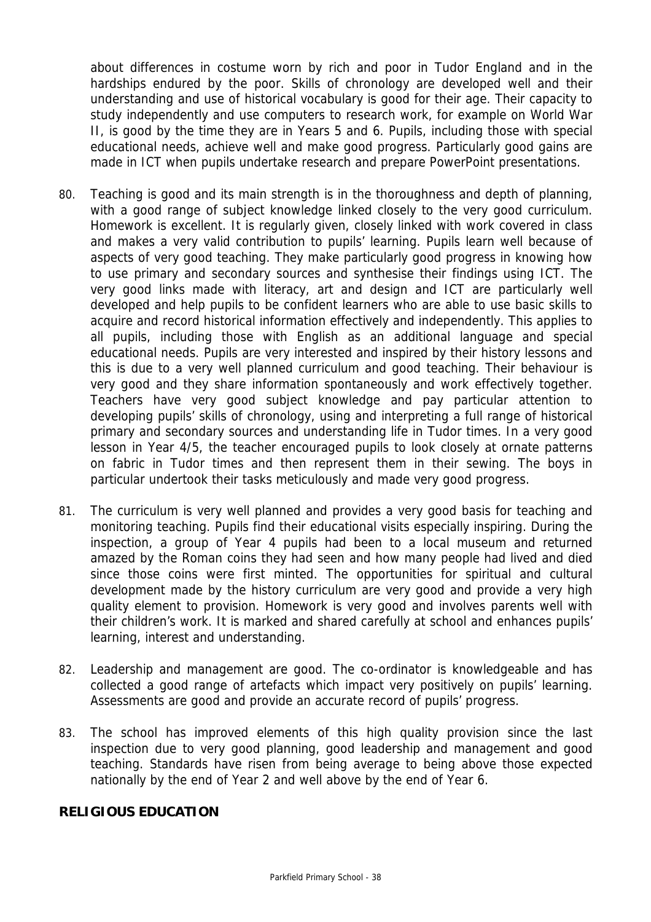about differences in costume worn by rich and poor in Tudor England and in the hardships endured by the poor. Skills of chronology are developed well and their understanding and use of historical vocabulary is good for their age. Their capacity to study independently and use computers to research work, for example on World War II, is good by the time they are in Years 5 and 6. Pupils, including those with special educational needs, achieve well and make good progress. Particularly good gains are made in ICT when pupils undertake research and prepare PowerPoint presentations.

- 80. Teaching is good and its main strength is in the thoroughness and depth of planning, with a good range of subject knowledge linked closely to the very good curriculum. Homework is excellent. It is regularly given, closely linked with work covered in class and makes a very valid contribution to pupils' learning. Pupils learn well because of aspects of very good teaching. They make particularly good progress in knowing how to use primary and secondary sources and synthesise their findings using ICT. The very good links made with literacy, art and design and ICT are particularly well developed and help pupils to be confident learners who are able to use basic skills to acquire and record historical information effectively and independently. This applies to all pupils, including those with English as an additional language and special educational needs. Pupils are very interested and inspired by their history lessons and this is due to a very well planned curriculum and good teaching. Their behaviour is very good and they share information spontaneously and work effectively together. Teachers have very good subject knowledge and pay particular attention to developing pupils' skills of chronology, using and interpreting a full range of historical primary and secondary sources and understanding life in Tudor times. In a very good lesson in Year 4/5, the teacher encouraged pupils to look closely at ornate patterns on fabric in Tudor times and then represent them in their sewing. The boys in particular undertook their tasks meticulously and made very good progress.
- 81. The curriculum is very well planned and provides a very good basis for teaching and monitoring teaching. Pupils find their educational visits especially inspiring. During the inspection, a group of Year 4 pupils had been to a local museum and returned amazed by the Roman coins they had seen and how many people had lived and died since those coins were first minted. The opportunities for spiritual and cultural development made by the history curriculum are very good and provide a very high quality element to provision. Homework is very good and involves parents well with their children's work. It is marked and shared carefully at school and enhances pupils' learning, interest and understanding.
- 82. Leadership and management are good. The co-ordinator is knowledgeable and has collected a good range of artefacts which impact very positively on pupils' learning. Assessments are good and provide an accurate record of pupils' progress.
- 83. The school has improved elements of this high quality provision since the last inspection due to very good planning, good leadership and management and good teaching. Standards have risen from being average to being above those expected nationally by the end of Year 2 and well above by the end of Year 6.

# **RELIGIOUS EDUCATION**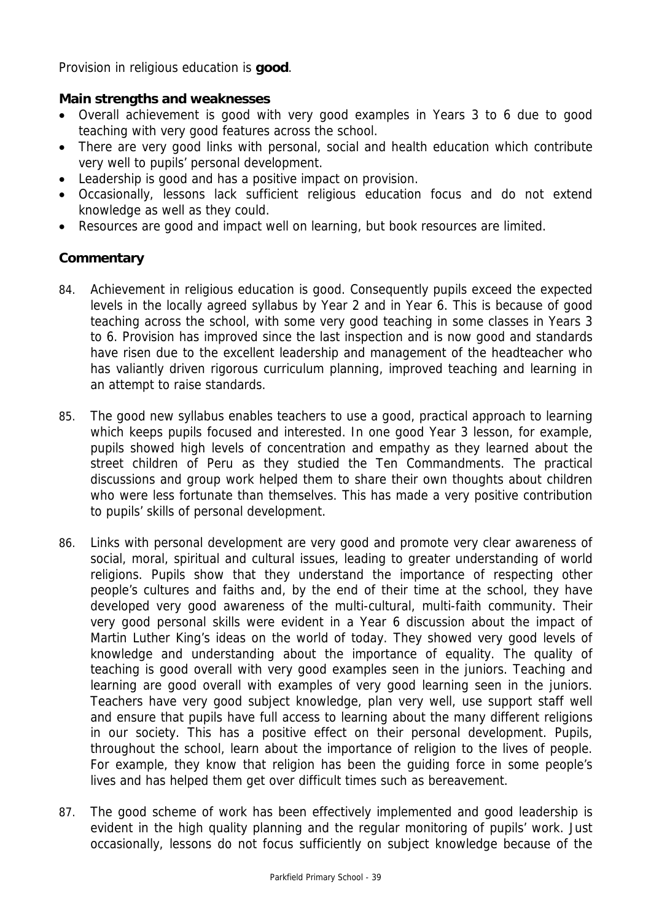Provision in religious education is **good**.

# **Main strengths and weaknesses**

- Overall achievement is good with very good examples in Years 3 to 6 due to good teaching with very good features across the school.
- There are very good links with personal, social and health education which contribute very well to pupils' personal development.
- Leadership is good and has a positive impact on provision.
- Occasionally, lessons lack sufficient religious education focus and do not extend knowledge as well as they could.
- Resources are good and impact well on learning, but book resources are limited.

# **Commentary**

- 84. Achievement in religious education is good. Consequently pupils exceed the expected levels in the locally agreed syllabus by Year 2 and in Year 6. This is because of good teaching across the school, with some very good teaching in some classes in Years 3 to 6. Provision has improved since the last inspection and is now good and standards have risen due to the excellent leadership and management of the headteacher who has valiantly driven rigorous curriculum planning, improved teaching and learning in an attempt to raise standards.
- 85. The good new syllabus enables teachers to use a good, practical approach to learning which keeps pupils focused and interested. In one good Year 3 lesson, for example, pupils showed high levels of concentration and empathy as they learned about the street children of Peru as they studied the Ten Commandments. The practical discussions and group work helped them to share their own thoughts about children who were less fortunate than themselves. This has made a very positive contribution to pupils' skills of personal development.
- 86. Links with personal development are very good and promote very clear awareness of social, moral, spiritual and cultural issues, leading to greater understanding of world religions. Pupils show that they understand the importance of respecting other people's cultures and faiths and, by the end of their time at the school, they have developed very good awareness of the multi-cultural, multi-faith community. Their very good personal skills were evident in a Year 6 discussion about the impact of Martin Luther King's ideas on the world of today. They showed very good levels of knowledge and understanding about the importance of equality. The quality of teaching is good overall with very good examples seen in the juniors. Teaching and learning are good overall with examples of very good learning seen in the juniors. Teachers have very good subject knowledge, plan very well, use support staff well and ensure that pupils have full access to learning about the many different religions in our society. This has a positive effect on their personal development. Pupils, throughout the school, learn about the importance of religion to the lives of people. For example, they know that religion has been the guiding force in some people's lives and has helped them get over difficult times such as bereavement.
- 87. The good scheme of work has been effectively implemented and good leadership is evident in the high quality planning and the regular monitoring of pupils' work. Just occasionally, lessons do not focus sufficiently on subject knowledge because of the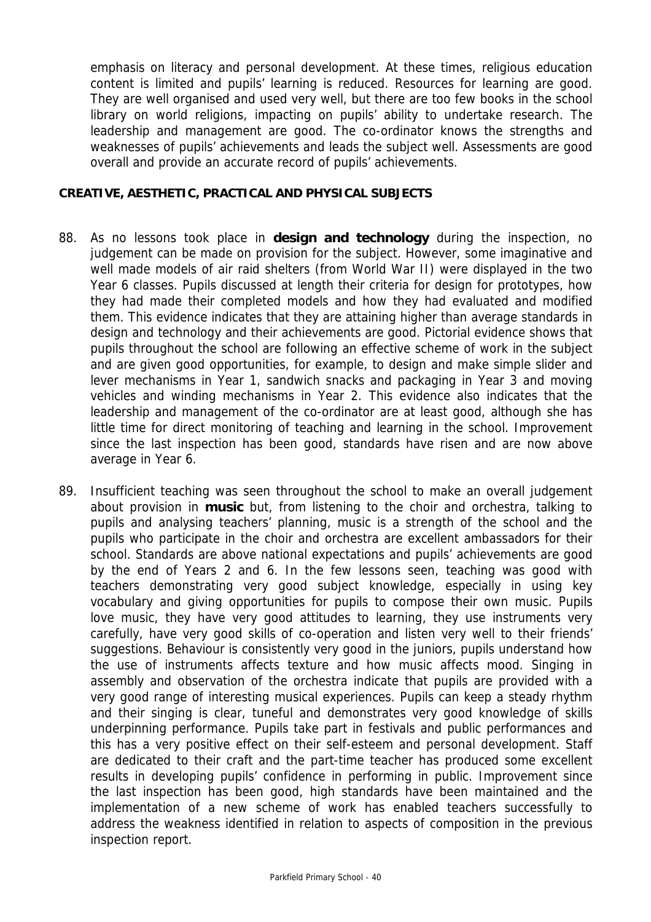emphasis on literacy and personal development. At these times, religious education content is limited and pupils' learning is reduced. Resources for learning are good. They are well organised and used very well, but there are too few books in the school library on world religions, impacting on pupils' ability to undertake research. The leadership and management are good. The co-ordinator knows the strengths and weaknesses of pupils' achievements and leads the subject well. Assessments are good overall and provide an accurate record of pupils' achievements.

#### **CREATIVE, AESTHETIC, PRACTICAL AND PHYSICAL SUBJECTS**

- 88. As no lessons took place in **design and technology** during the inspection, no judgement can be made on provision for the subject. However, some imaginative and well made models of air raid shelters (from World War II) were displayed in the two Year 6 classes. Pupils discussed at length their criteria for design for prototypes, how they had made their completed models and how they had evaluated and modified them. This evidence indicates that they are attaining higher than average standards in design and technology and their achievements are good. Pictorial evidence shows that pupils throughout the school are following an effective scheme of work in the subject and are given good opportunities, for example, to design and make simple slider and lever mechanisms in Year 1, sandwich snacks and packaging in Year 3 and moving vehicles and winding mechanisms in Year 2. This evidence also indicates that the leadership and management of the co-ordinator are at least good, although she has little time for direct monitoring of teaching and learning in the school. Improvement since the last inspection has been good, standards have risen and are now above average in Year 6.
- 89. Insufficient teaching was seen throughout the school to make an overall judgement about provision in **music** but, from listening to the choir and orchestra, talking to pupils and analysing teachers' planning, music is a strength of the school and the pupils who participate in the choir and orchestra are excellent ambassadors for their school. Standards are above national expectations and pupils' achievements are good by the end of Years 2 and 6. In the few lessons seen, teaching was good with teachers demonstrating very good subject knowledge, especially in using key vocabulary and giving opportunities for pupils to compose their own music. Pupils love music, they have very good attitudes to learning, they use instruments very carefully, have very good skills of co-operation and listen very well to their friends' suggestions. Behaviour is consistently very good in the juniors, pupils understand how the use of instruments affects texture and how music affects mood. Singing in assembly and observation of the orchestra indicate that pupils are provided with a very good range of interesting musical experiences. Pupils can keep a steady rhythm and their singing is clear, tuneful and demonstrates very good knowledge of skills underpinning performance. Pupils take part in festivals and public performances and this has a very positive effect on their self-esteem and personal development. Staff are dedicated to their craft and the part-time teacher has produced some excellent results in developing pupils' confidence in performing in public. Improvement since the last inspection has been good, high standards have been maintained and the implementation of a new scheme of work has enabled teachers successfully to address the weakness identified in relation to aspects of composition in the previous inspection report.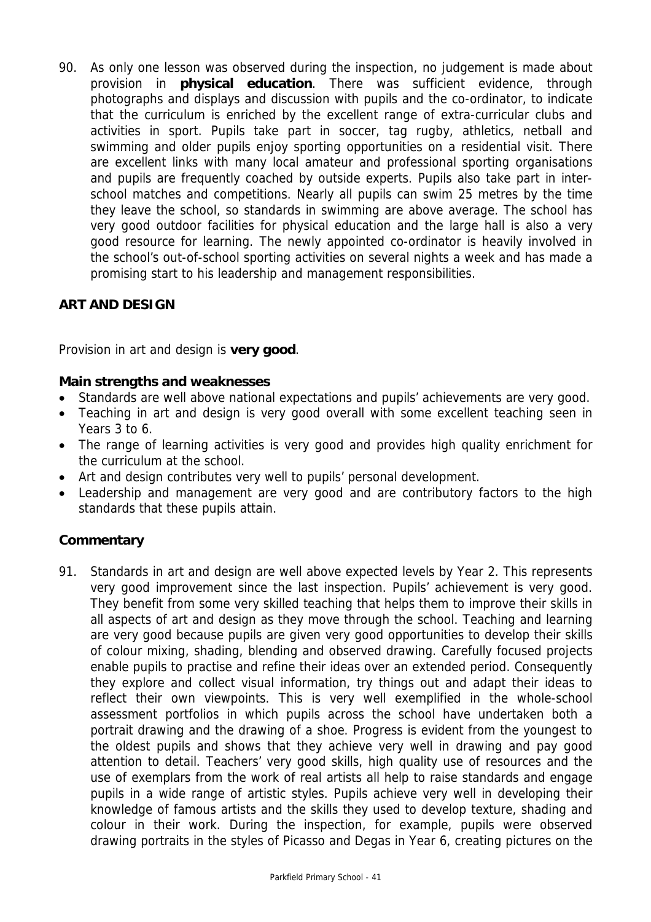90. As only one lesson was observed during the inspection, no judgement is made about provision in **physical education**. There was sufficient evidence, through photographs and displays and discussion with pupils and the co-ordinator, to indicate that the curriculum is enriched by the excellent range of extra-curricular clubs and activities in sport. Pupils take part in soccer, tag rugby, athletics, netball and swimming and older pupils enjoy sporting opportunities on a residential visit. There are excellent links with many local amateur and professional sporting organisations and pupils are frequently coached by outside experts. Pupils also take part in interschool matches and competitions. Nearly all pupils can swim 25 metres by the time they leave the school, so standards in swimming are above average. The school has very good outdoor facilities for physical education and the large hall is also a very good resource for learning. The newly appointed co-ordinator is heavily involved in the school's out-of-school sporting activities on several nights a week and has made a promising start to his leadership and management responsibilities.

# **ART AND DESIGN**

Provision in art and design is **very good**.

# **Main strengths and weaknesses**

- Standards are well above national expectations and pupils' achievements are very good.
- Teaching in art and design is very good overall with some excellent teaching seen in Years 3 to 6.
- The range of learning activities is very good and provides high quality enrichment for the curriculum at the school.
- Art and design contributes very well to pupils' personal development.
- Leadership and management are very good and are contributory factors to the high standards that these pupils attain.

# **Commentary**

91. Standards in art and design are well above expected levels by Year 2. This represents very good improvement since the last inspection. Pupils' achievement is very good. They benefit from some very skilled teaching that helps them to improve their skills in all aspects of art and design as they move through the school. Teaching and learning are very good because pupils are given very good opportunities to develop their skills of colour mixing, shading, blending and observed drawing. Carefully focused projects enable pupils to practise and refine their ideas over an extended period. Consequently they explore and collect visual information, try things out and adapt their ideas to reflect their own viewpoints. This is very well exemplified in the whole-school assessment portfolios in which pupils across the school have undertaken both a portrait drawing and the drawing of a shoe. Progress is evident from the youngest to the oldest pupils and shows that they achieve very well in drawing and pay good attention to detail. Teachers' very good skills, high quality use of resources and the use of exemplars from the work of real artists all help to raise standards and engage pupils in a wide range of artistic styles. Pupils achieve very well in developing their knowledge of famous artists and the skills they used to develop texture, shading and colour in their work. During the inspection, for example, pupils were observed drawing portraits in the styles of Picasso and Degas in Year 6, creating pictures on the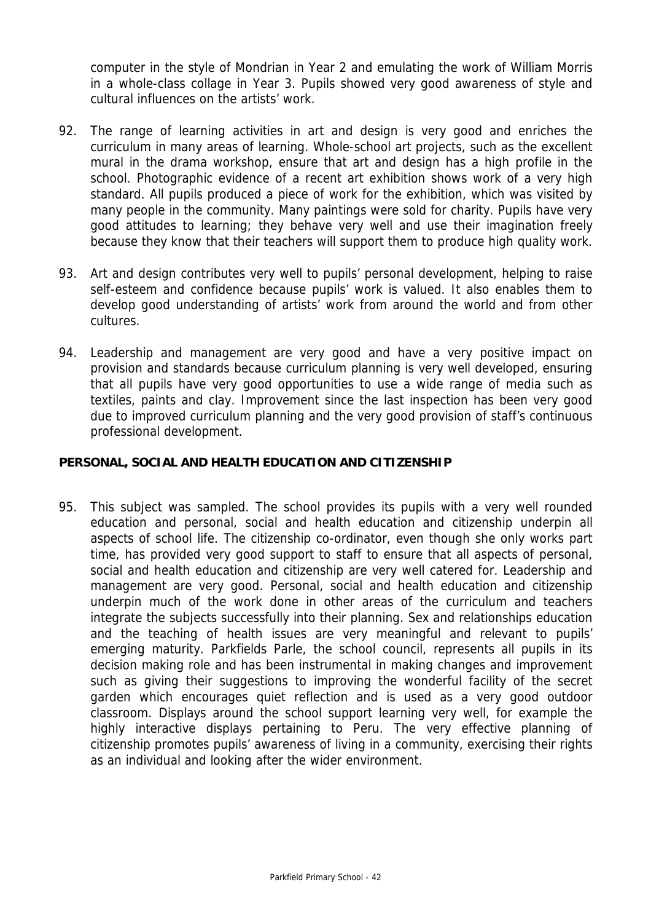computer in the style of Mondrian in Year 2 and emulating the work of William Morris in a whole-class collage in Year 3. Pupils showed very good awareness of style and cultural influences on the artists' work.

- 92. The range of learning activities in art and design is very good and enriches the curriculum in many areas of learning. Whole-school art projects, such as the excellent mural in the drama workshop, ensure that art and design has a high profile in the school. Photographic evidence of a recent art exhibition shows work of a very high standard. All pupils produced a piece of work for the exhibition, which was visited by many people in the community. Many paintings were sold for charity. Pupils have very good attitudes to learning; they behave very well and use their imagination freely because they know that their teachers will support them to produce high quality work.
- 93. Art and design contributes very well to pupils' personal development, helping to raise self-esteem and confidence because pupils' work is valued. It also enables them to develop good understanding of artists' work from around the world and from other cultures.
- 94. Leadership and management are very good and have a very positive impact on provision and standards because curriculum planning is very well developed, ensuring that all pupils have very good opportunities to use a wide range of media such as textiles, paints and clay. Improvement since the last inspection has been very good due to improved curriculum planning and the very good provision of staff's continuous professional development.

# **PERSONAL, SOCIAL AND HEALTH EDUCATION AND CITIZENSHIP**

95. This subject was sampled. The school provides its pupils with a very well rounded education and personal, social and health education and citizenship underpin all aspects of school life. The citizenship co-ordinator, even though she only works part time, has provided very good support to staff to ensure that all aspects of personal, social and health education and citizenship are very well catered for. Leadership and management are very good. Personal, social and health education and citizenship underpin much of the work done in other areas of the curriculum and teachers integrate the subjects successfully into their planning. Sex and relationships education and the teaching of health issues are very meaningful and relevant to pupils' emerging maturity. Parkfields Parle, the school council, represents all pupils in its decision making role and has been instrumental in making changes and improvement such as giving their suggestions to improving the wonderful facility of the secret garden which encourages quiet reflection and is used as a very good outdoor classroom. Displays around the school support learning very well, for example the highly interactive displays pertaining to Peru. The very effective planning of citizenship promotes pupils' awareness of living in a community, exercising their rights as an individual and looking after the wider environment.